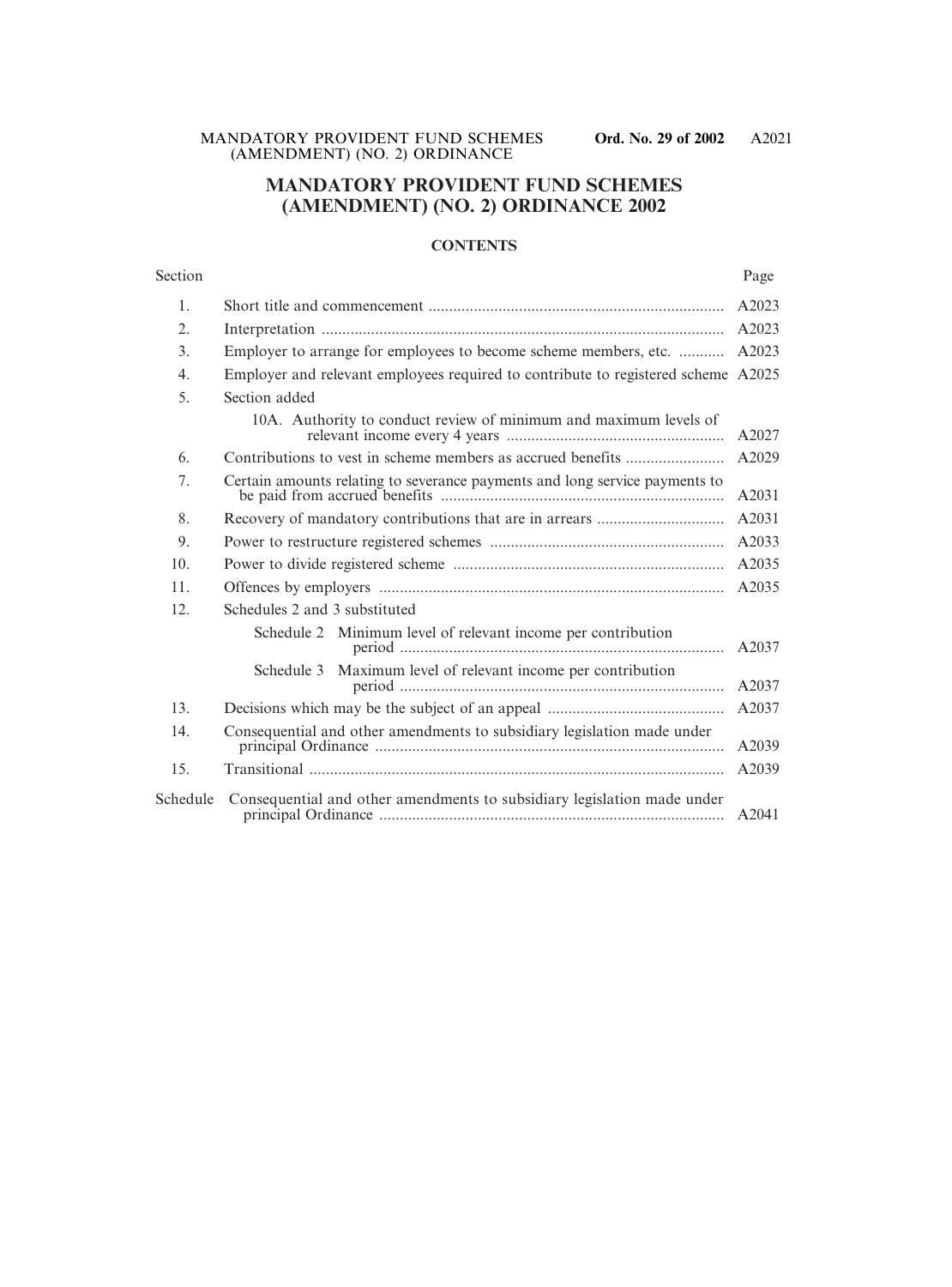# **MANDATORY PROVIDENT FUND SCHEMES (AMENDMENT) (NO. 2) ORDINANCE 2002**

## **CONTENTS**

| Section  |                                                                                   | Page  |
|----------|-----------------------------------------------------------------------------------|-------|
| 1.       |                                                                                   | A2023 |
| 2.       |                                                                                   | A2023 |
| 3.       | Employer to arrange for employees to become scheme members, etc.                  | A2023 |
| 4.       | Employer and relevant employees required to contribute to registered scheme A2025 |       |
| 5.       | Section added                                                                     |       |
|          | 10A. Authority to conduct review of minimum and maximum levels of                 | A2027 |
| 6.       |                                                                                   | A2029 |
| 7.       | Certain amounts relating to severance payments and long service payments to       | A2031 |
| 8.       |                                                                                   | A2031 |
| 9.       |                                                                                   | A2033 |
| 10.      |                                                                                   | A2035 |
| 11.      |                                                                                   | A2035 |
| 12.      | Schedules 2 and 3 substituted                                                     |       |
|          | Minimum level of relevant income per contribution<br>Schedule 2                   | A2037 |
|          | Maximum level of relevant income per contribution<br>Schedule 3                   | A2037 |
| 13.      |                                                                                   | A2037 |
| 14.      | Consequential and other amendments to subsidiary legislation made under           | A2039 |
| 15.      |                                                                                   | A2039 |
| Schedule | Consequential and other amendments to subsidiary legislation made under           | A2041 |
|          |                                                                                   |       |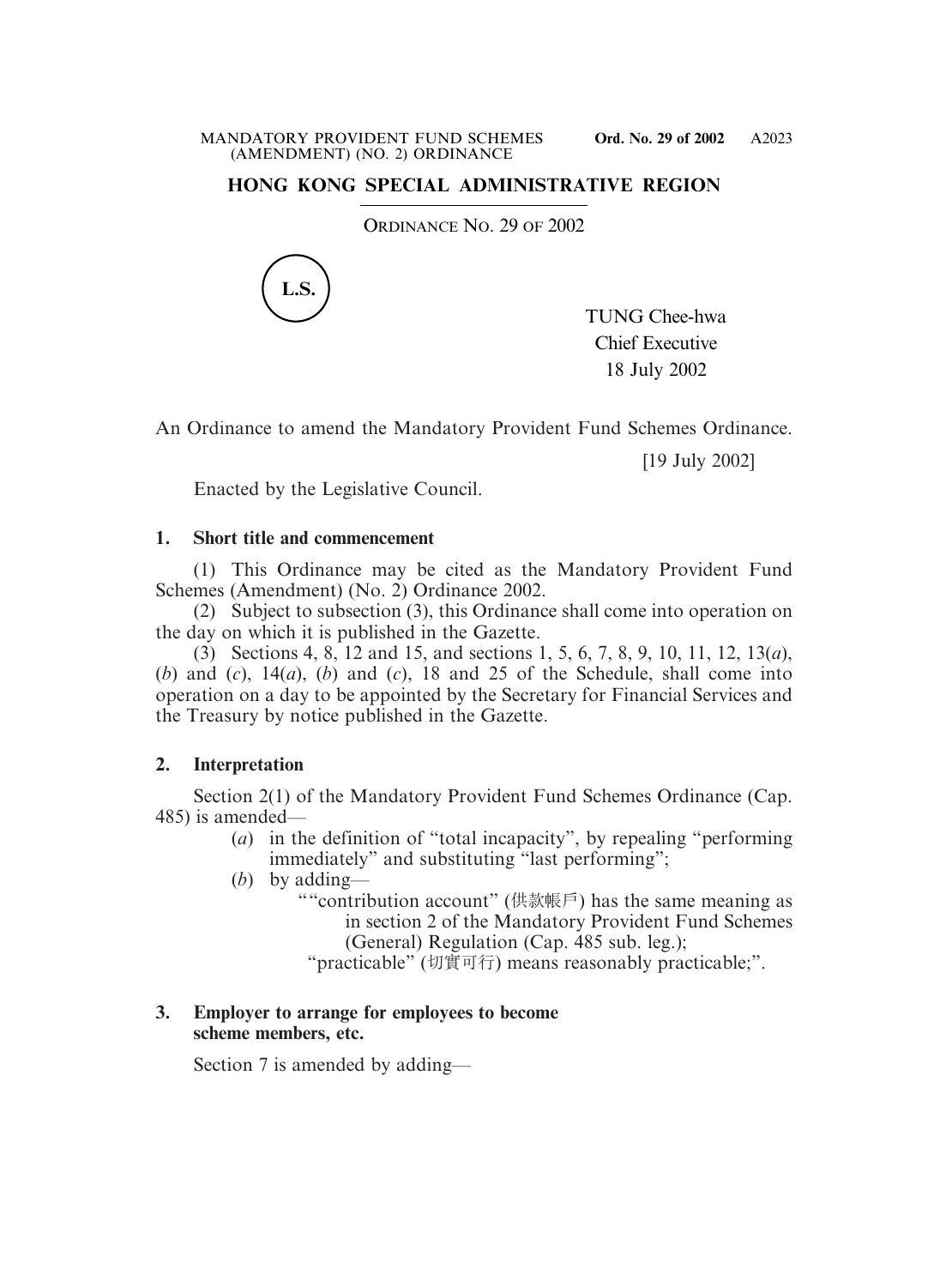# **HONG KONG SPECIAL ADMINISTRATIVE REGION**

ORDINANCE NO. 29 OF 2002



TUNG Chee-hwa Chief Executive 18 July 2002

An Ordinance to amend the Mandatory Provident Fund Schemes Ordinance.

[19 July 2002]

Enacted by the Legislative Council.

# **1. Short title and commencement**

(1) This Ordinance may be cited as the Mandatory Provident Fund Schemes (Amendment) (No. 2) Ordinance 2002.

(2) Subject to subsection (3), this Ordinance shall come into operation on the day on which it is published in the Gazette.

(3) Sections 4, 8, 12 and 15, and sections 1, 5, 6, 7, 8, 9, 10, 11, 12, 13(*a*), (*b*) and (*c*), 14(*a*), (*b*) and (*c*), 18 and 25 of the Schedule, shall come into operation on a day to be appointed by the Secretary for Financial Services and the Treasury by notice published in the Gazette.

# **2. Interpretation**

Section 2(1) of the Mandatory Provident Fund Schemes Ordinance (Cap. 485) is amended—

- (*a*) in the definition of "total incapacity", by repealing "performing immediately" and substituting "last performing":
- (*b*) by adding—
	- ""contribution account" (供款帳戶) has the same meaning as in section 2 of the Mandatory Provident Fund Schemes (General) Regulation (Cap. 485 sub. leg.);
		- "practicable" (切實可行) means reasonably practicable;".

# **3. Employer to arrange for employees to become scheme members, etc.**

Section 7 is amended by adding—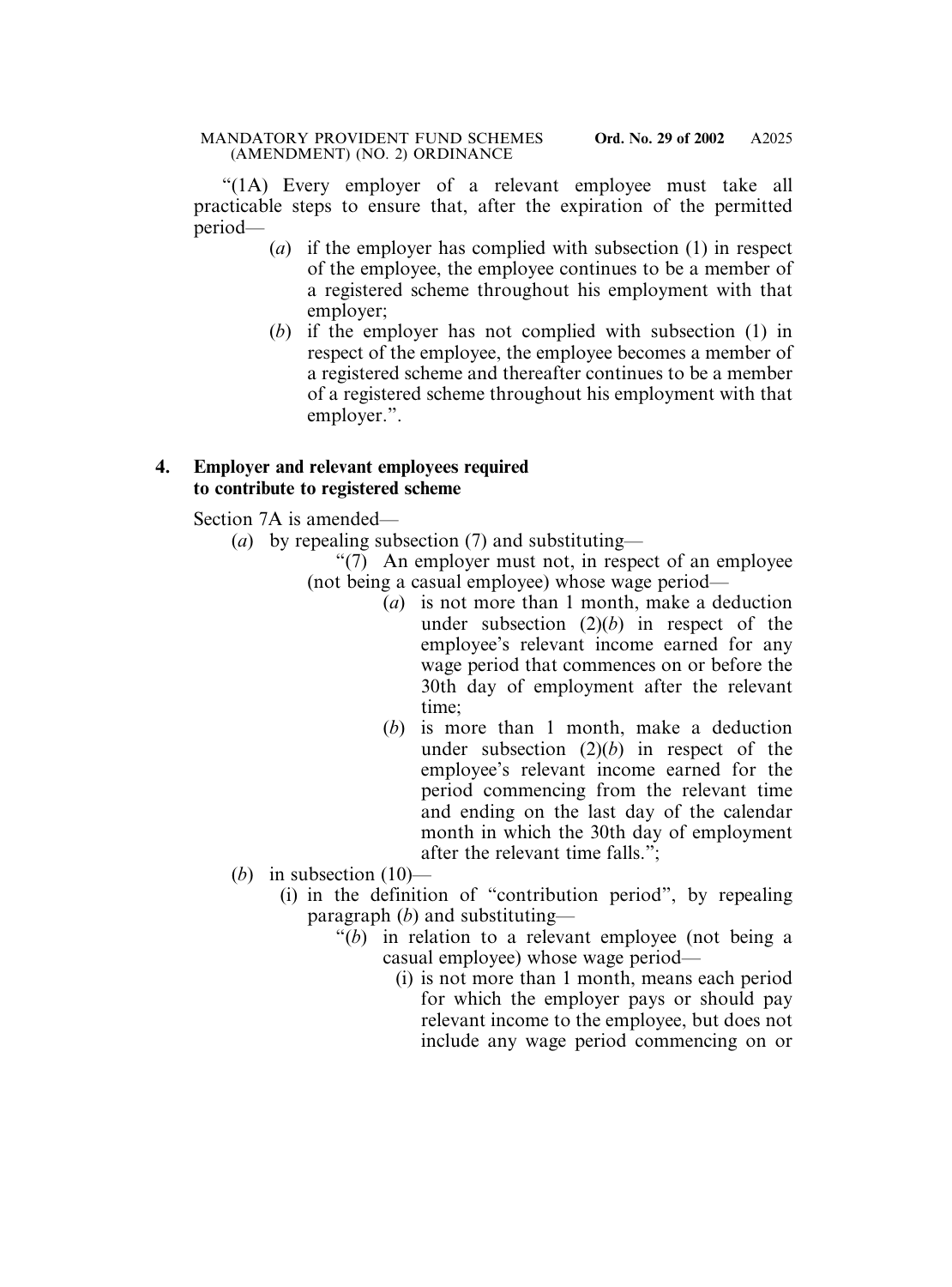"(1A) Every employer of a relevant employee must take all practicable steps to ensure that, after the expiration of the permitted period—

- (*a*) if the employer has complied with subsection (1) in respect of the employee, the employee continues to be a member of a registered scheme throughout his employment with that employer;
- (*b*) if the employer has not complied with subsection (1) in respect of the employee, the employee becomes a member of a registered scheme and thereafter continues to be a member of a registered scheme throughout his employment with that employer.".

# **4. Employer and relevant employees required to contribute to registered scheme**

Section 7A is amended—

- (*a*) by repealing subsection (7) and substituting—
	- "(7) An employer must not, in respect of an employee (not being a casual employee) whose wage period—
		- (*a*) is not more than 1 month, make a deduction under subsection (2)(*b*) in respect of the employee's relevant income earned for any wage period that commences on or before the 30th day of employment after the relevant time;
		- (*b*) is more than 1 month, make a deduction under subsection  $(2)(b)$  in respect of the employee's relevant income earned for the period commencing from the relevant time and ending on the last day of the calendar month in which the 30th day of employment after the relevant time falls.";
- (*b*) in subsection  $(10)$ 
	- (i) in the definition of "contribution period", by repealing paragraph (*b*) and substituting—
		- "(*b*) in relation to a relevant employee (not being a casual employee) whose wage period—
			- (i) is not more than 1 month, means each period for which the employer pays or should pay relevant income to the employee, but does not include any wage period commencing on or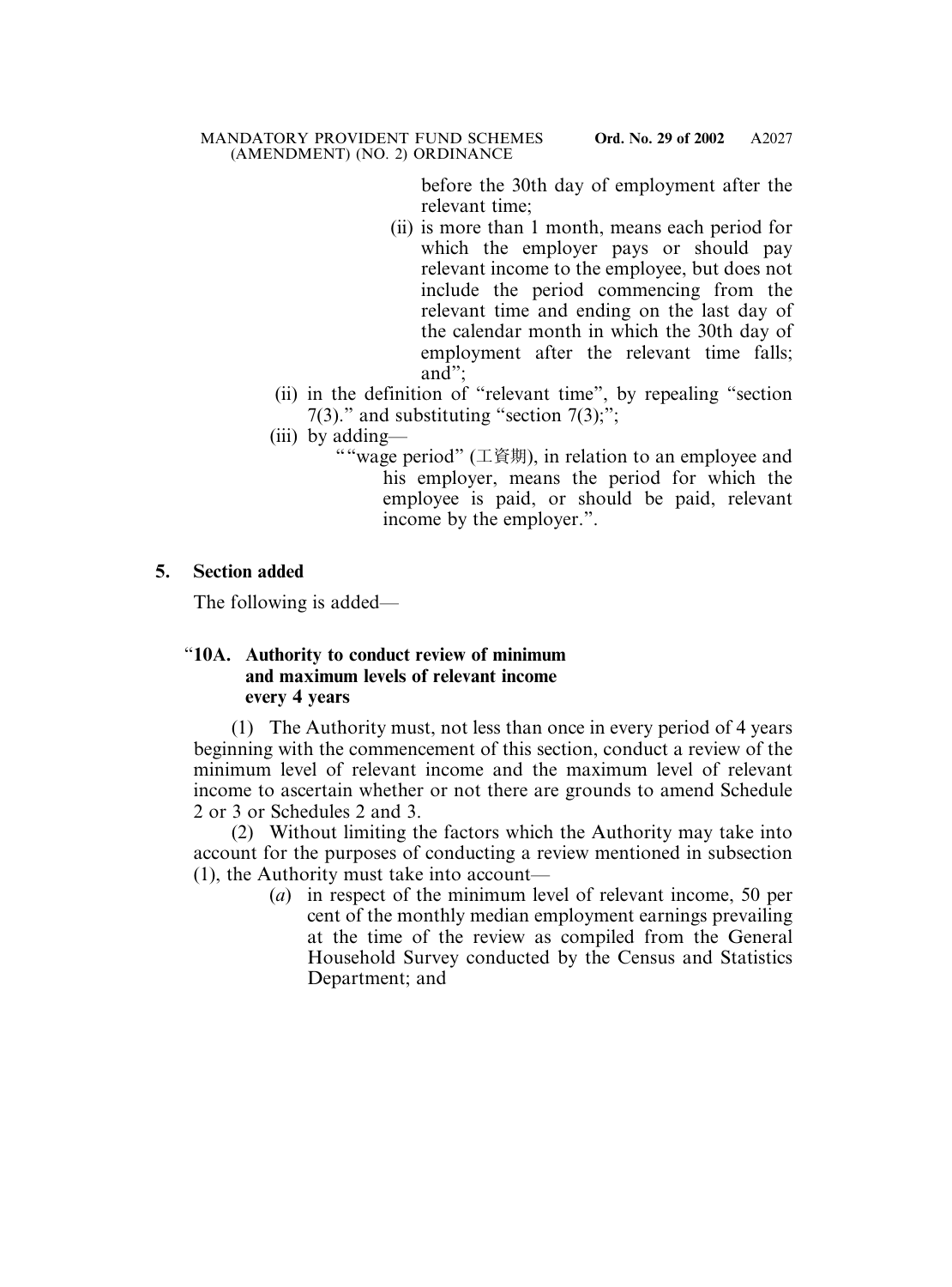before the 30th day of employment after the relevant time;

- (ii) is more than 1 month, means each period for which the employer pays or should pay relevant income to the employee, but does not include the period commencing from the relevant time and ending on the last day of the calendar month in which the 30th day of employment after the relevant time falls; and";
- (ii) in the definition of "relevant time", by repealing "section 7(3)." and substituting "section  $7(3)$ ;";
- (iii) by adding—
	- ""wage period" (工資期), in relation to an employee and his employer, means the period for which the employee is paid, or should be paid, relevant income by the employer.".

**5. Section added**

The following is added—

# "**10A. Authority to conduct review of minimum and maximum levels of relevant income every 4 years**

(1) The Authority must, not less than once in every period of 4 years beginning with the commencement of this section, conduct a review of the minimum level of relevant income and the maximum level of relevant income to ascertain whether or not there are grounds to amend Schedule 2 or 3 or Schedules 2 and 3.

(2) Without limiting the factors which the Authority may take into account for the purposes of conducting a review mentioned in subsection (1), the Authority must take into account—

> (*a*) in respect of the minimum level of relevant income, 50 per cent of the monthly median employment earnings prevailing at the time of the review as compiled from the General Household Survey conducted by the Census and Statistics Department; and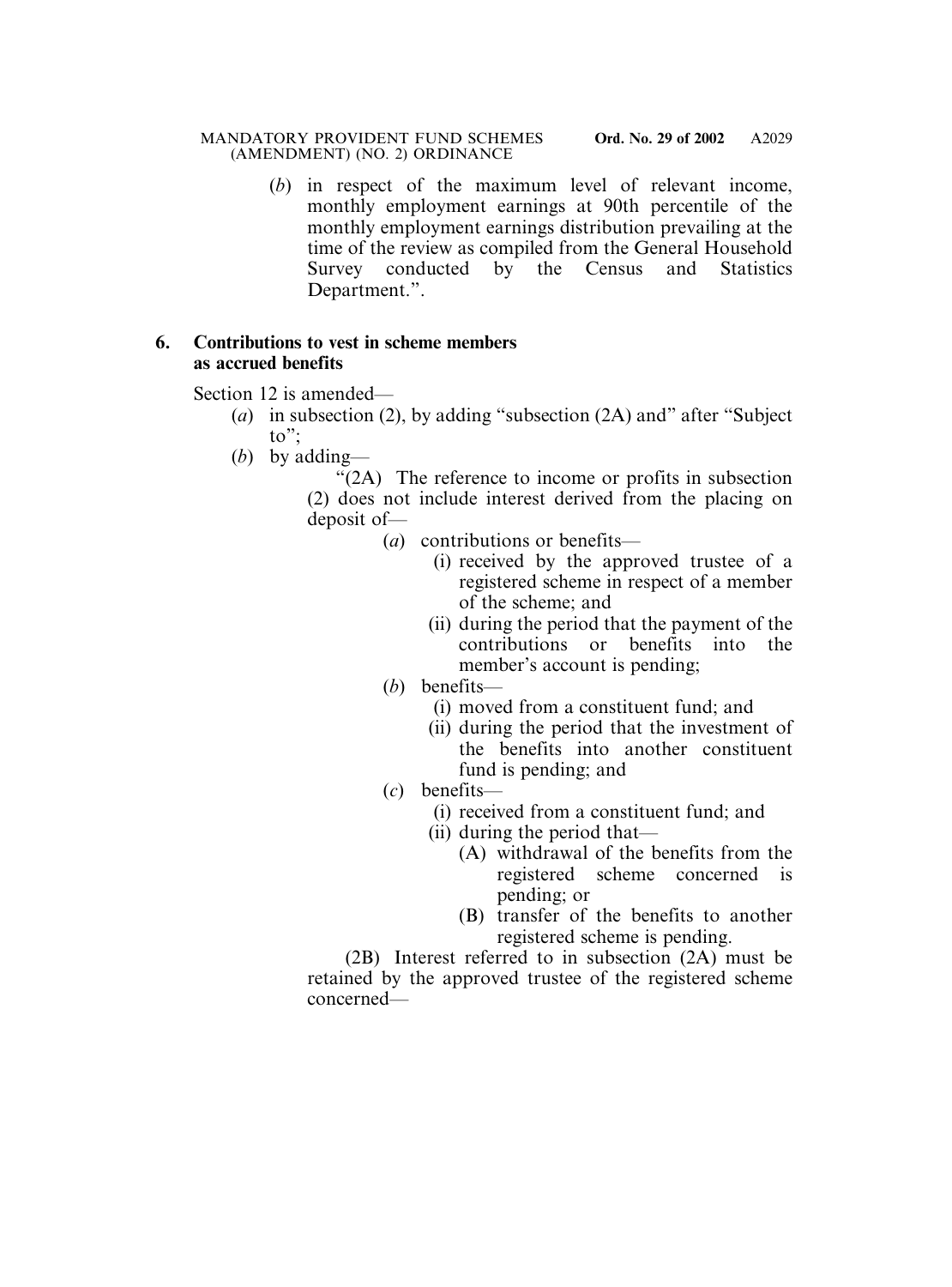(*b*) in respect of the maximum level of relevant income, monthly employment earnings at 90th percentile of the monthly employment earnings distribution prevailing at the time of the review as compiled from the General Household Survey conducted by the Census and Statistics Department.".

# **6. Contributions to vest in scheme members as accrued benefits**

Section 12 is amended—

- (*a*) in subsection (2), by adding "subsection (2A) and" after "Subject to";
- (*b*) by adding—

"(2A) The reference to income or profits in subsection (2) does not include interest derived from the placing on deposit of—

- (*a*) contributions or benefits—
	- (i) received by the approved trustee of a registered scheme in respect of a member of the scheme; and
	- (ii) during the period that the payment of the contributions or benefits into the member's account is pending;
- (*b*) benefits—
	- (i) moved from a constituent fund; and
	- (ii) during the period that the investment of the benefits into another constituent fund is pending; and
- (*c*) benefits—
	- (i) received from a constituent fund; and
	- (ii) during the period that—
		- (A) withdrawal of the benefits from the registered scheme concerned is pending; or
		- (B) transfer of the benefits to another registered scheme is pending.

(2B) Interest referred to in subsection (2A) must be retained by the approved trustee of the registered scheme concerned—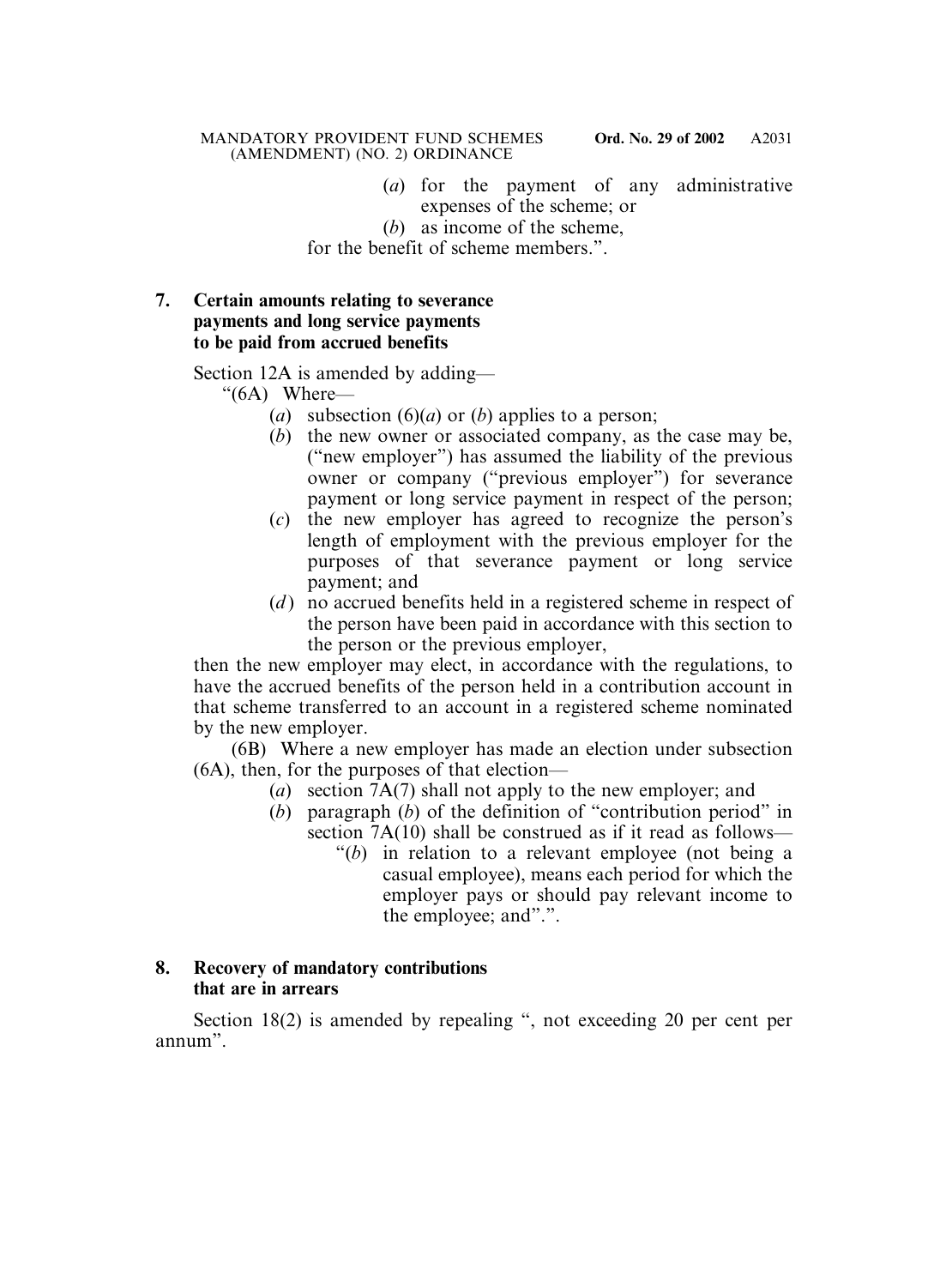- (*a*) for the payment of any administrative expenses of the scheme; or
- (*b*) as income of the scheme,

for the benefit of scheme members.".

# **7. Certain amounts relating to severance payments and long service payments to be paid from accrued benefits**

Section 12A is amended by adding—

- "(6A) Where—
	- (*a*) subsection (6)(*a*) or (*b*) applies to a person;
	- (*b*) the new owner or associated company, as the case may be, ("new employer") has assumed the liability of the previous owner or company ("previous employer") for severance payment or long service payment in respect of the person;
	- (*c*) the new employer has agreed to recognize the person's length of employment with the previous employer for the purposes of that severance payment or long service payment; and
	- (*d*) no accrued benefits held in a registered scheme in respect of the person have been paid in accordance with this section to the person or the previous employer,

then the new employer may elect, in accordance with the regulations, to have the accrued benefits of the person held in a contribution account in that scheme transferred to an account in a registered scheme nominated by the new employer.

(6B) Where a new employer has made an election under subsection (6A), then, for the purposes of that election—

- (*a*) section 7A(7) shall not apply to the new employer; and
- $(b)$  paragraph  $(b)$  of the definition of "contribution period" in section 7A(10) shall be construed as if it read as follows—
	- "(*b*) in relation to a relevant employee (not being a casual employee), means each period for which the employer pays or should pay relevant income to the employee; and".".

# **8. Recovery of mandatory contributions that are in arrears**

Section 18(2) is amended by repealing ", not exceeding 20 per cent per annum".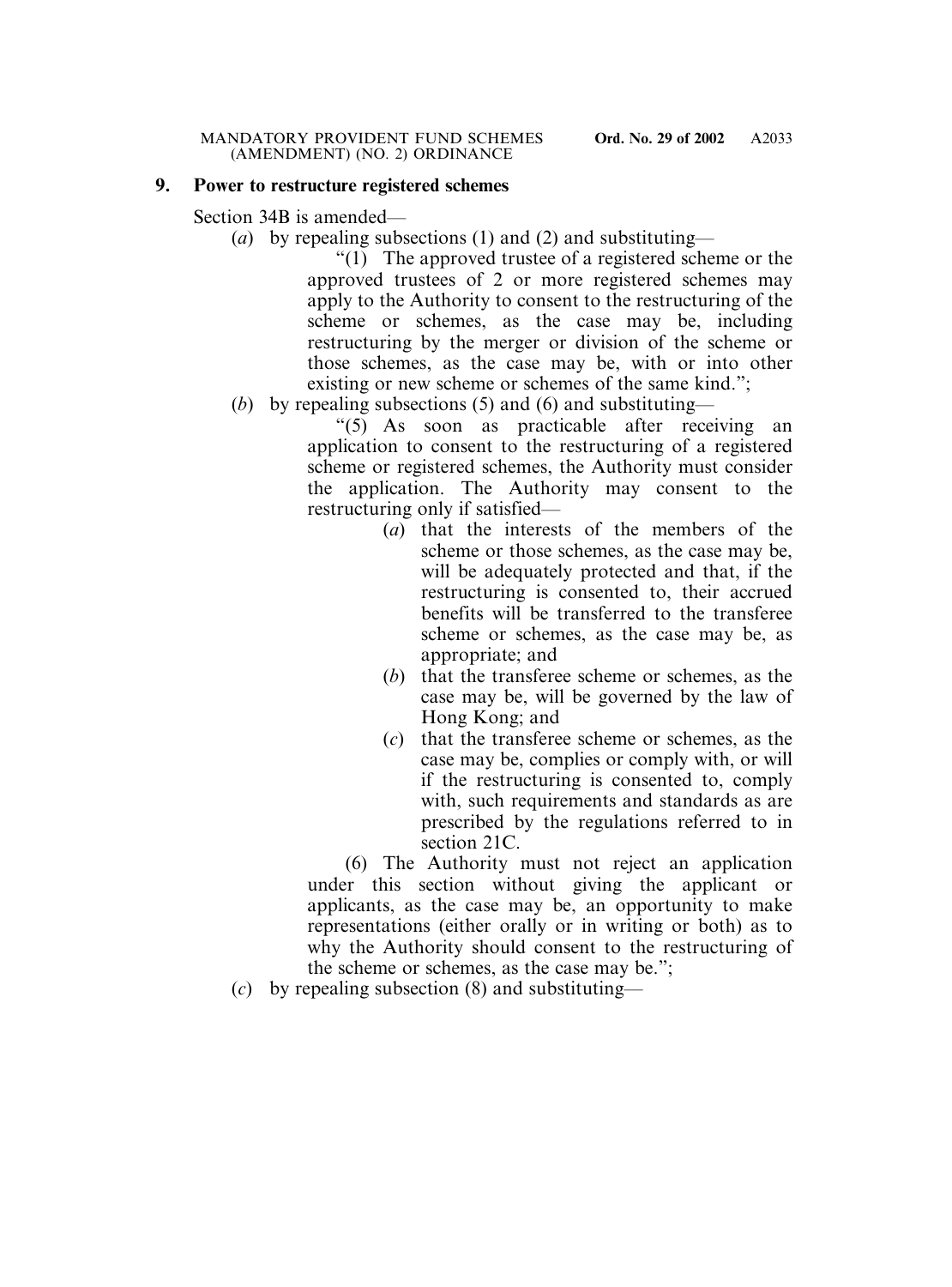# **9. Power to restructure registered schemes**

Section 34B is amended—

(*a*) by repealing subsections (1) and (2) and substituting—

"(1) The approved trustee of a registered scheme or the approved trustees of 2 or more registered schemes may apply to the Authority to consent to the restructuring of the scheme or schemes, as the case may be, including restructuring by the merger or division of the scheme or those schemes, as the case may be, with or into other existing or new scheme or schemes of the same kind.";

(*b*) by repealing subsections (5) and (6) and substituting—

"(5) As soon as practicable after receiving an application to consent to the restructuring of a registered scheme or registered schemes, the Authority must consider the application. The Authority may consent to the restructuring only if satisfied—

- (*a*) that the interests of the members of the scheme or those schemes, as the case may be, will be adequately protected and that, if the restructuring is consented to, their accrued benefits will be transferred to the transferee scheme or schemes, as the case may be, as appropriate; and
- (*b*) that the transferee scheme or schemes, as the case may be, will be governed by the law of Hong Kong; and
- (*c*) that the transferee scheme or schemes, as the case may be, complies or comply with, or will if the restructuring is consented to, comply with, such requirements and standards as are prescribed by the regulations referred to in section 21C.

(6) The Authority must not reject an application under this section without giving the applicant or applicants, as the case may be, an opportunity to make representations (either orally or in writing or both) as to why the Authority should consent to the restructuring of the scheme or schemes, as the case may be.";

<sup>(</sup>*c*) by repealing subsection (8) and substituting—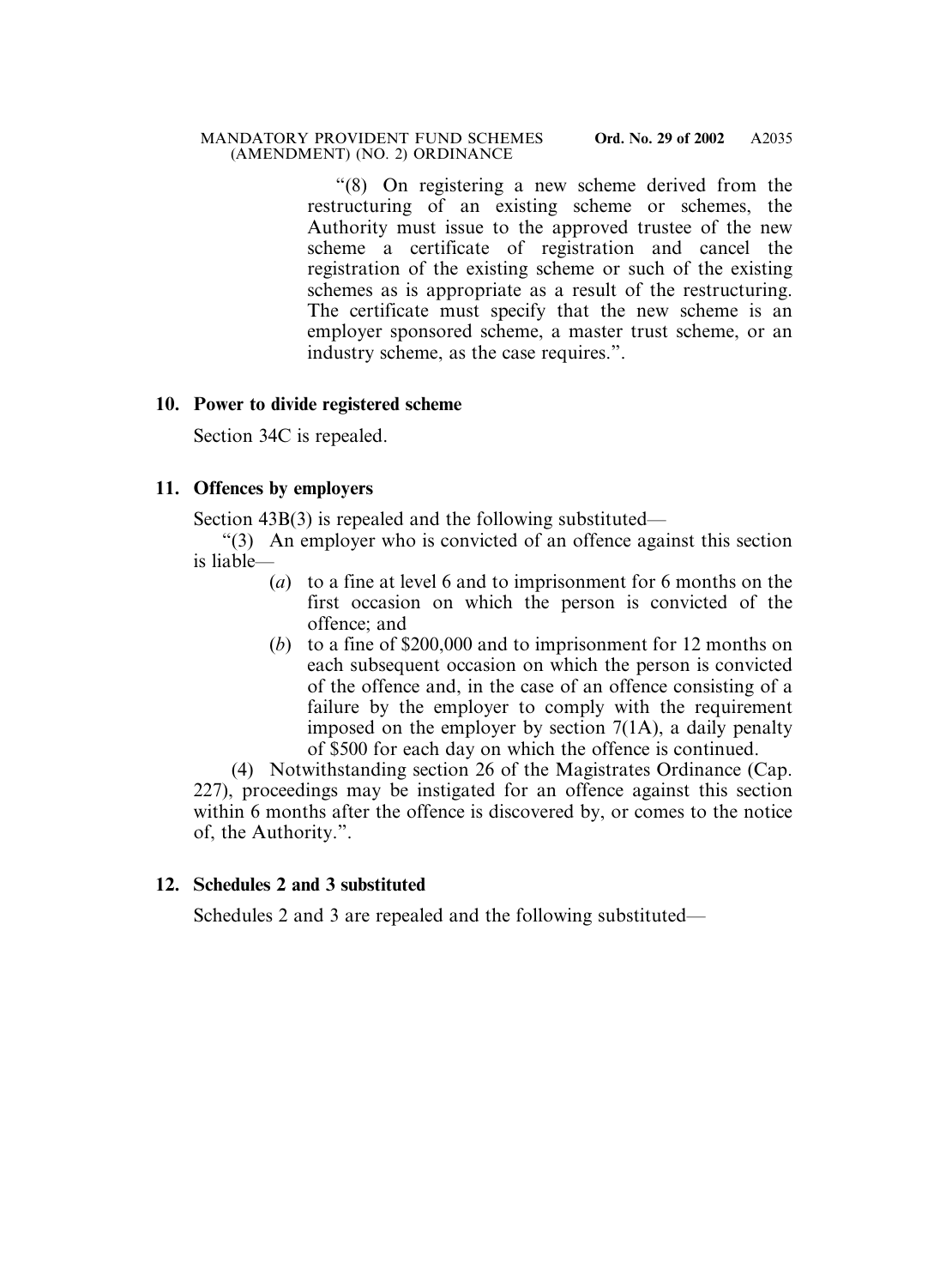"(8) On registering a new scheme derived from the restructuring of an existing scheme or schemes, the Authority must issue to the approved trustee of the new scheme a certificate of registration and cancel the registration of the existing scheme or such of the existing schemes as is appropriate as a result of the restructuring. The certificate must specify that the new scheme is an employer sponsored scheme, a master trust scheme, or an industry scheme, as the case requires.".

# **10. Power to divide registered scheme**

Section 34C is repealed.

# **11. Offences by employers**

Section 43B(3) is repealed and the following substituted—

- "(3) An employer who is convicted of an offence against this section is liable—
	- (*a*) to a fine at level 6 and to imprisonment for 6 months on the first occasion on which the person is convicted of the offence; and
	- (*b*) to a fine of \$200,000 and to imprisonment for 12 months on each subsequent occasion on which the person is convicted of the offence and, in the case of an offence consisting of a failure by the employer to comply with the requirement imposed on the employer by section 7(1A), a daily penalty of \$500 for each day on which the offence is continued.

(4) Notwithstanding section 26 of the Magistrates Ordinance (Cap. 227), proceedings may be instigated for an offence against this section within 6 months after the offence is discovered by, or comes to the notice of, the Authority.".

# **12. Schedules 2 and 3 substituted**

Schedules 2 and 3 are repealed and the following substituted—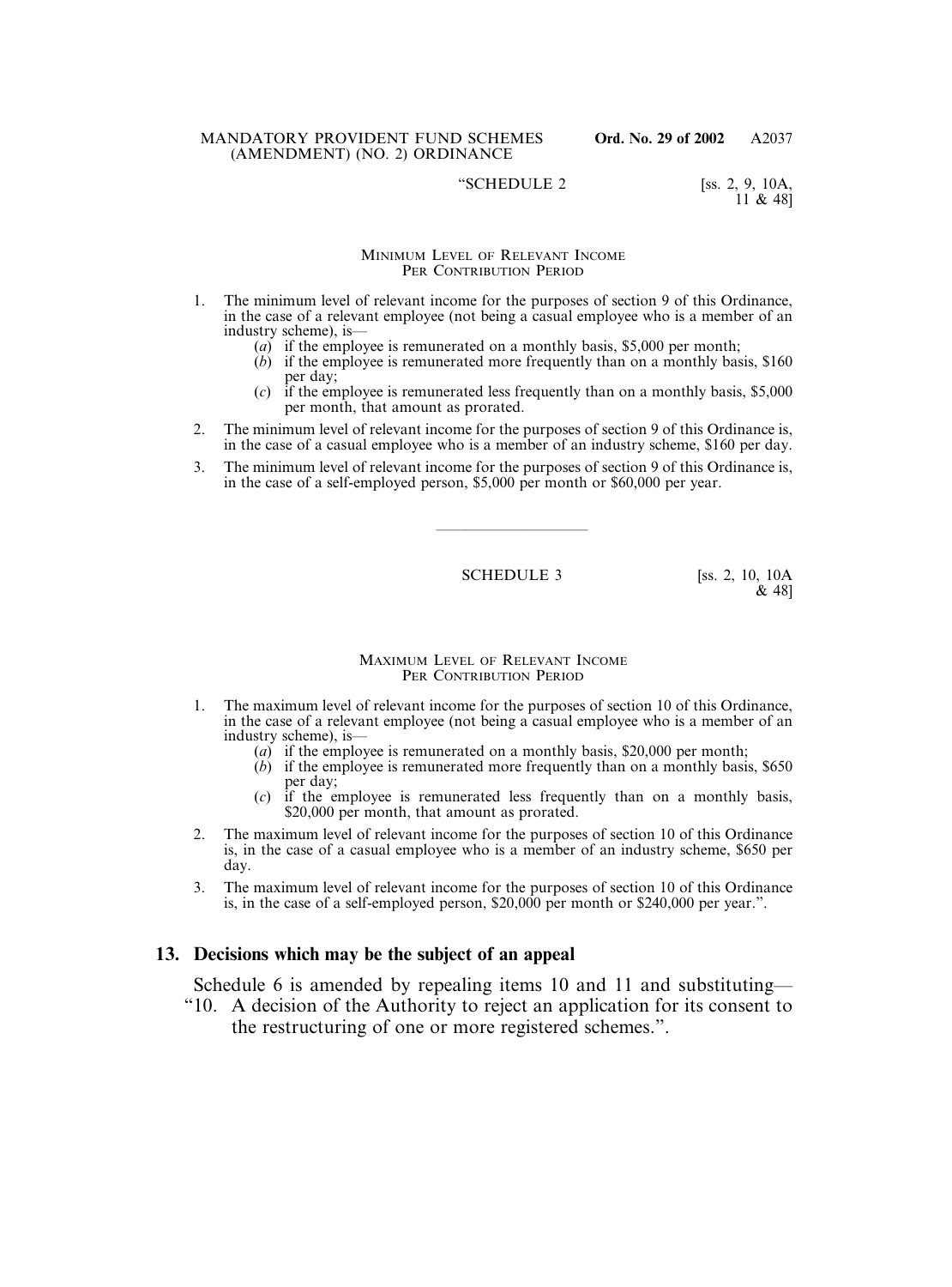### "SCHEDULE 2  $[ss. 2, 9, 10A,$

11 & 48]

### MINIMUM LEVEL OF RELEVANT INCOME PER CONTRIBUTION PERIOD

- 1. The minimum level of relevant income for the purposes of section 9 of this Ordinance, in the case of a relevant employee (not being a casual employee who is a member of an industry scheme), is—
	- (*a*) if the employee is remunerated on a monthly basis, \$5,000 per month;
	- (*b*) if the employee is remunerated more frequently than on a monthly basis, \$160 per day;
	- (*c*) if the employee is remunerated less frequently than on a monthly basis, \$5,000 per month, that amount as prorated.
- 2. The minimum level of relevant income for the purposes of section 9 of this Ordinance is, in the case of a casual employee who is a member of an industry scheme, \$160 per day.
- 3. The minimum level of relevant income for the purposes of section 9 of this Ordinance is, in the case of a self-employed person, \$5,000 per month or \$60,000 per year.

SCHEDULE 3 [ss. 2, 10, 10A]

——————————

& 48]

#### MAXIMUM LEVEL OF RELEVANT INCOME PER CONTRIBUTION PERIOD

- 1. The maximum level of relevant income for the purposes of section 10 of this Ordinance, in the case of a relevant employee (not being a casual employee who is a member of an industry scheme), is—
	- (*a*) if the employee is remunerated on a monthly basis, \$20,000 per month;
	- (*b*) if the employee is remunerated more frequently than on a monthly basis, \$650 per day;
	- (*c*) if the employee is remunerated less frequently than on a monthly basis, \$20,000 per month, that amount as prorated.
- 2. The maximum level of relevant income for the purposes of section 10 of this Ordinance is, in the case of a casual employee who is a member of an industry scheme, \$650 per day.
- 3. The maximum level of relevant income for the purposes of section 10 of this Ordinance is, in the case of a self-employed person, \$20,000 per month or \$240,000 per year.".

## **13. Decisions which may be the subject of an appeal**

Schedule 6 is amended by repealing items 10 and 11 and substituting—

"10. A decision of the Authority to reject an application for its consent to the restructuring of one or more registered schemes.".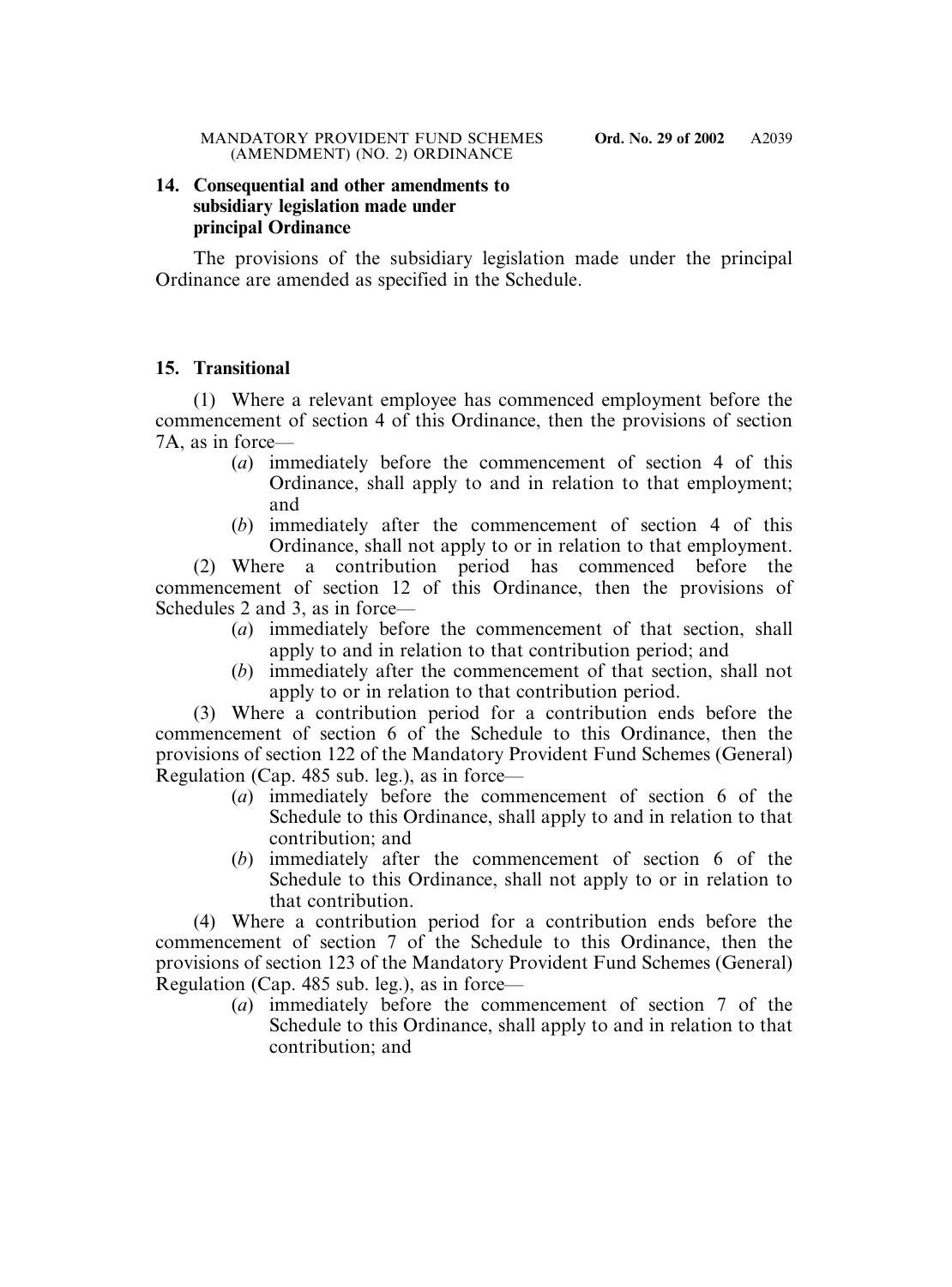# **14. Consequential and other amendments to subsidiary legislation made under principal Ordinance**

The provisions of the subsidiary legislation made under the principal Ordinance are amended as specified in the Schedule.

# **15. Transitional**

(1) Where a relevant employee has commenced employment before the commencement of section 4 of this Ordinance, then the provisions of section 7A, as in force—

- (*a*) immediately before the commencement of section 4 of this Ordinance, shall apply to and in relation to that employment; and
- (*b*) immediately after the commencement of section 4 of this Ordinance, shall not apply to or in relation to that employment.

(2) Where a contribution period has commenced before the commencement of section 12 of this Ordinance, then the provisions of Schedules 2 and 3, as in force—

- (*a*) immediately before the commencement of that section, shall apply to and in relation to that contribution period; and
- (*b*) immediately after the commencement of that section, shall not apply to or in relation to that contribution period.

(3) Where a contribution period for a contribution ends before the commencement of section 6 of the Schedule to this Ordinance, then the provisions of section 122 of the Mandatory Provident Fund Schemes (General) Regulation (Cap. 485 sub. leg.), as in force—

- (*a*) immediately before the commencement of section 6 of the Schedule to this Ordinance, shall apply to and in relation to that contribution; and
- (*b*) immediately after the commencement of section 6 of the Schedule to this Ordinance, shall not apply to or in relation to that contribution.

(4) Where a contribution period for a contribution ends before the commencement of section 7 of the Schedule to this Ordinance, then the provisions of section 123 of the Mandatory Provident Fund Schemes (General) Regulation (Cap. 485 sub. leg.), as in force—

(*a*) immediately before the commencement of section 7 of the Schedule to this Ordinance, shall apply to and in relation to that contribution; and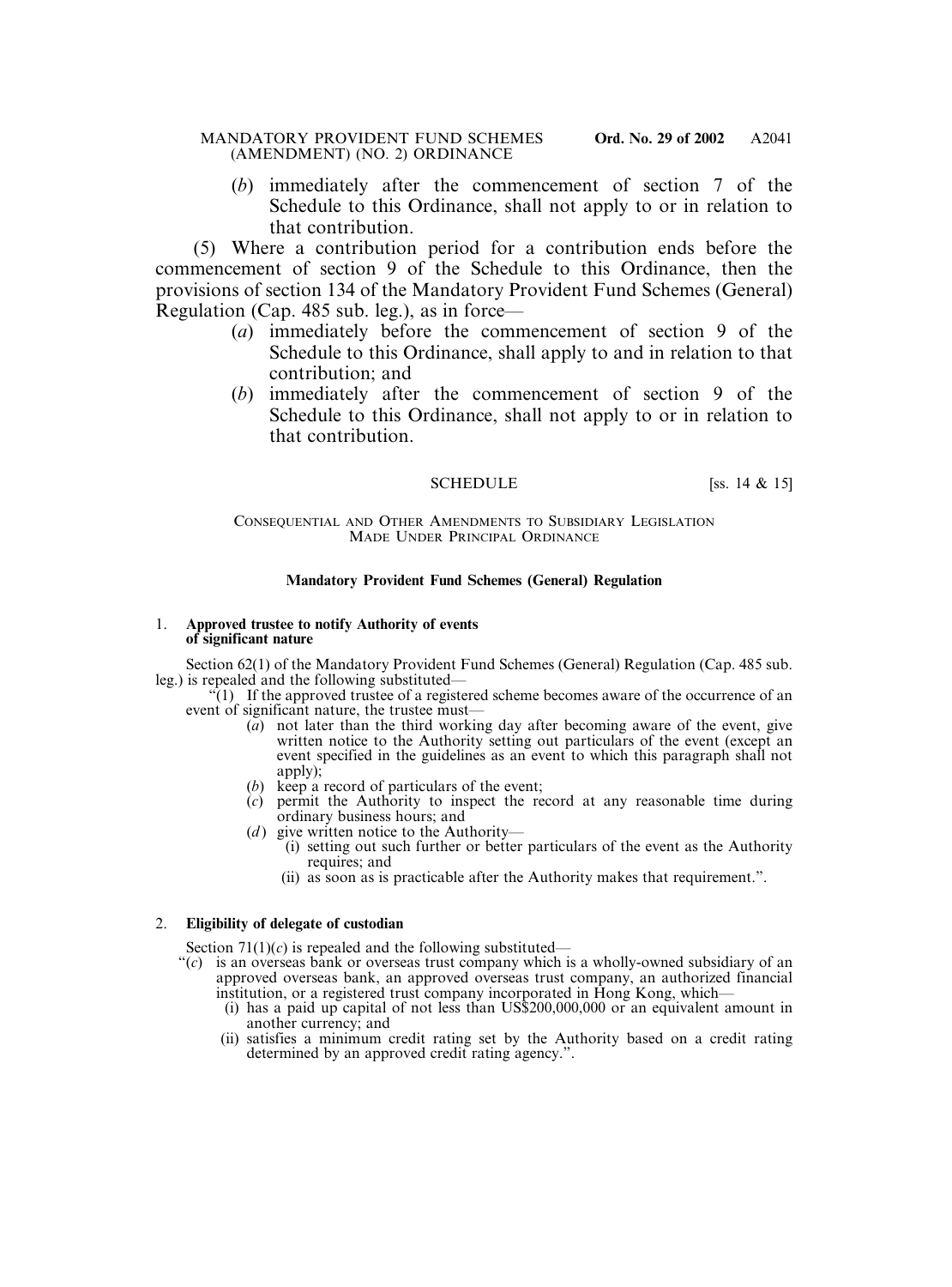(*b*) immediately after the commencement of section 7 of the Schedule to this Ordinance, shall not apply to or in relation to that contribution.

(5) Where a contribution period for a contribution ends before the commencement of section 9 of the Schedule to this Ordinance, then the provisions of section 134 of the Mandatory Provident Fund Schemes (General) Regulation (Cap. 485 sub. leg.), as in force—

- (*a*) immediately before the commencement of section 9 of the Schedule to this Ordinance, shall apply to and in relation to that contribution; and
- (*b*) immediately after the commencement of section 9 of the Schedule to this Ordinance, shall not apply to or in relation to that contribution.

## SCHEDULE [ss. 14 & 15]

### CONSEQUENTIAL AND OTHER AMENDMENTS TO SUBSIDIARY LEGISLATION MADE UNDER PRINCIPAL ORDINANCE

## **Mandatory Provident Fund Schemes (General) Regulation**

#### 1. **Approved trustee to notify Authority of events of significant nature**

Section 62(1) of the Mandatory Provident Fund Schemes (General) Regulation (Cap. 485 sub. leg.) is repealed and the following substituted—

 $\mathcal{F}(1)$  If the approved trustee of a registered scheme becomes aware of the occurrence of an event of significant nature, the trustee must—

- $\overline{a}$  not later than the third working day after becoming aware of the event, give written notice to the Authority setting out particulars of the event (except an event specified in the guidelines as an event to which this paragraph shall not apply);
- (*b*) keep a record of particulars of the event;
- (*c*) permit the Authority to inspect the record at any reasonable time during ordinary business hours; and
- (*d*) give written notice to the Authority—
	- (i) setting out such further or better particulars of the event as the Authority requires; and
	- (ii) as soon as is practicable after the Authority makes that requirement.".

### 2. **Eligibility of delegate of custodian**

Section  $71(1)(c)$  is repealed and the following substituted—

- "(*c*) is an overseas bank or overseas trust company which is a wholly-owned subsidiary of an approved overseas bank, an approved overseas trust company, an authorized financial institution, or a registered trust company incorporated in Hong Kong, which—
	- (i) has a paid up capital of not less than US\$200,000,000 or an equivalent amount in another currency; and
	- (ii) satisfies a minimum credit rating set by the Authority based on a credit rating determined by an approved credit rating agency.".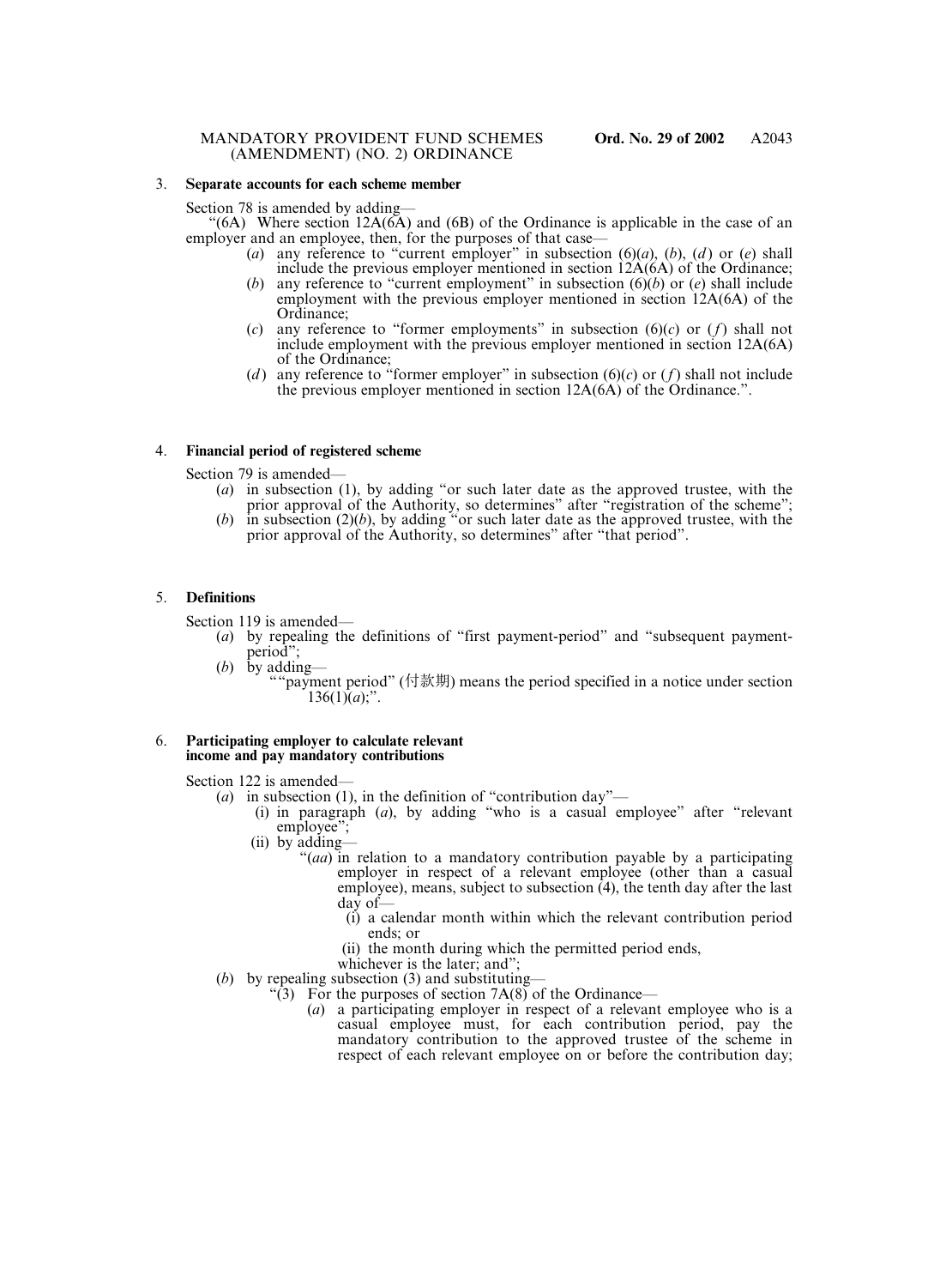#### 3. **Separate accounts for each scheme member**

Section 78 is amended by adding—

 $(6A)$  Where section 12A $(6\overline{A})$  and  $(6\overline{B})$  of the Ordinance is applicable in the case of an employer and an employee, then, for the purposes of that case—

- (*a*) any reference to "current employer" in subsection (6)(*a*), (*b*), (*d* ) or (*e*) shall include the previous employer mentioned in section  $12A(6A)$  of the Ordinance;
- (*b*) any reference to "current employment" in subsection (6)(*b*) or (*e*) shall include employment with the previous employer mentioned in section 12A(6A) of the Ordinance;
- (*c*) any reference to "former employments" in subsection (6)(*c*) or (*f*) shall not include employment with the previous employer mentioned in section 12A(6A) of the Ordinance;
- (*d*) any reference to "former employer" in subsection  $(6)(c)$  or  $(f)$  shall not include the previous employer mentioned in section 12A(6A) of the Ordinance.".

### 4. **Financial period of registered scheme**

Section 79 is amended—

- (*a*) in subsection (1), by adding "or such later date as the approved trustee, with the prior approval of the Authority, so determines" after "registration of the scheme";
- $(b)$  in subsection  $(2)(b)$ , by adding "or such later date as the approved trustee, with the prior approval of the Authority, so determines" after "that period".

#### 5. **Definitions**

Section 119 is amended—

- (*a*) by repealing the definitions of "first payment-period" and "subsequent paymentperiod";
- (*b*) by adding— ""payment period" (付款期) means the period specified in a notice under section  $136(1)\hat{a}$ ;".

#### 6. **Participating employer to calculate relevant income and pay mandatory contributions**

Section 122 is amended—

- (*a*) in subsection (1), in the definition of "contribution day"—
	- (i) in paragraph (*a*), by adding "who is a casual employee" after "relevant employee";
	- (ii) by adding—
		- "(*aa*) in relation to a mandatory contribution payable by a participating employer in respect of a relevant employee (other than a casual employee), means, subject to subsection  $(4)$ , the tenth day after the last day of—
			- (i) a calendar month within which the relevant contribution period ends; or
			- (ii) the month during which the permitted period ends,
			- whichever is the later; and";
- (*b*) by repealing subsection (3) and substituting—
	- "(3) For the purposes of section  $7A(8)$  of the Ordinance—
		- (*a*) a participating employer in respect of a relevant employee who is a casual employee must, for each contribution period, pay the mandatory contribution to the approved trustee of the scheme in respect of each relevant employee on or before the contribution day;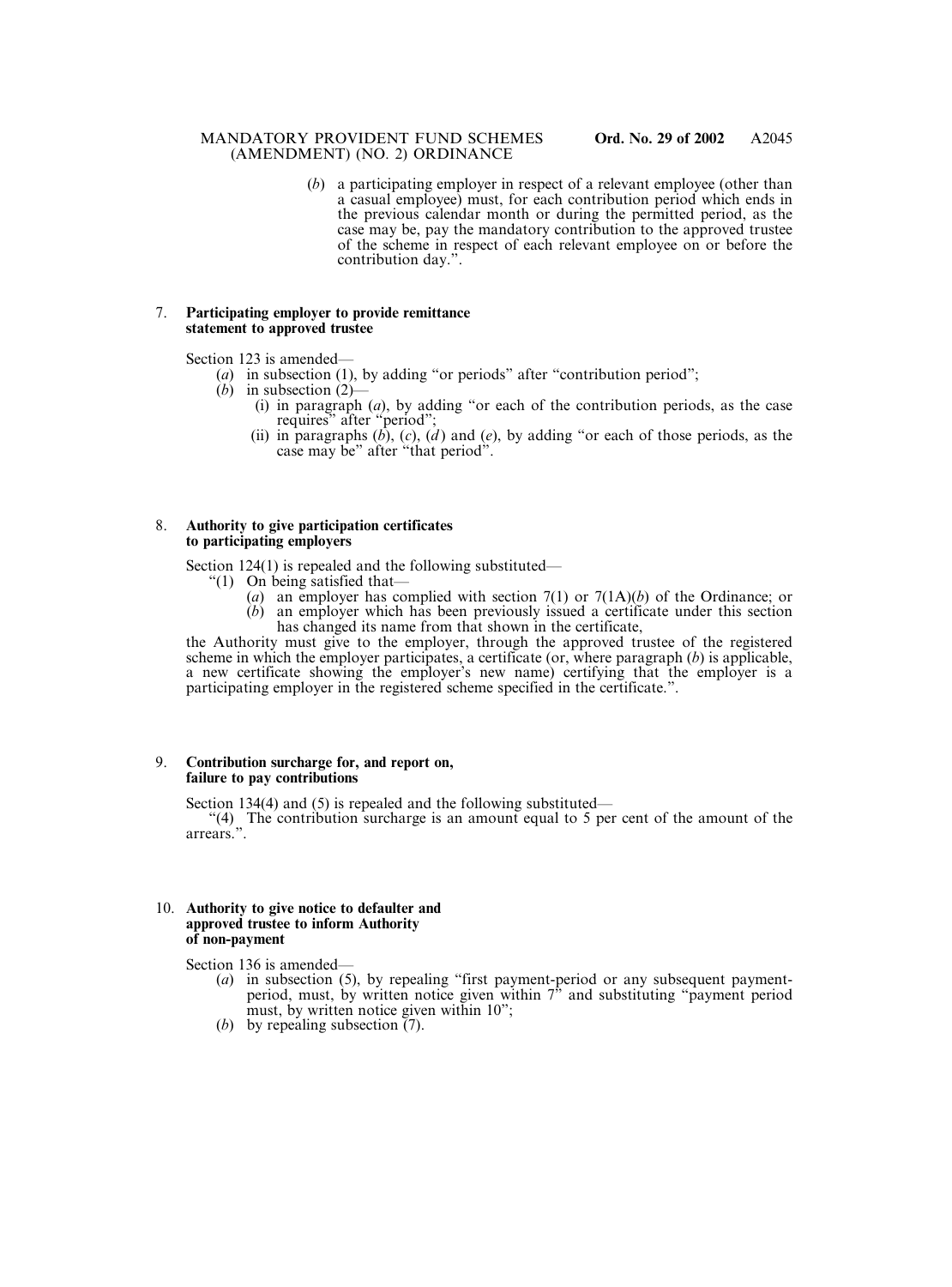(*b*) a participating employer in respect of a relevant employee (other than a casual employee) must, for each contribution period which ends in the previous calendar month or during the permitted period, as the case may be, pay the mandatory contribution to the approved trustee of the scheme in respect of each relevant employee on or before the contribution day.".

#### 7. **Participating employer to provide remittance statement to approved trustee**

Section 123 is amended—

- (*a*) in subsection (1), by adding "or periods" after "contribution period";
- $(b)$  in subsection  $(2)$ -
	- (i) in paragraph (*a*), by adding "or each of the contribution periods, as the case requires" after "period";
	- (ii) in paragraphs (*b*), (*c*), (*d* ) and (*e*), by adding "or each of those periods, as the case may be" after "that period".

#### 8. **Authority to give participation certificates to participating employers**

Section 124(1) is repealed and the following substituted—

- "(1) On being satisfied that—
	- (*a*) an employer has complied with section 7(1) or 7(1A)(*b*) of the Ordinance; or (*b*) an employer which has been previously issued a certificate under this section
		- has changed its name from that shown in the certificate,

the Authority must give to the employer, through the approved trustee of the registered scheme in which the employer participates, a certificate (or, where paragraph (*b*) is applicable, a new certificate showing the employer's new name) certifying that the employer is a participating employer in the registered scheme specified in the certificate.".

#### 9. **Contribution surcharge for, and report on, failure to pay contributions**

Section 134(4) and (5) is repealed and the following substituted—

"(4) The contribution surcharge is an amount equal to 5 per cent of the amount of the arrears.".

#### 10. **Authority to give notice to defaulter and approved trustee to inform Authority of non-payment**

Section 136 is amended—

- (*a*) in subsection (5), by repealing "first payment-period or any subsequent paymentperiod, must, by written notice given within 7" and substituting "payment period must, by written notice given within 10";
- (*b*) by repealing subsection (7).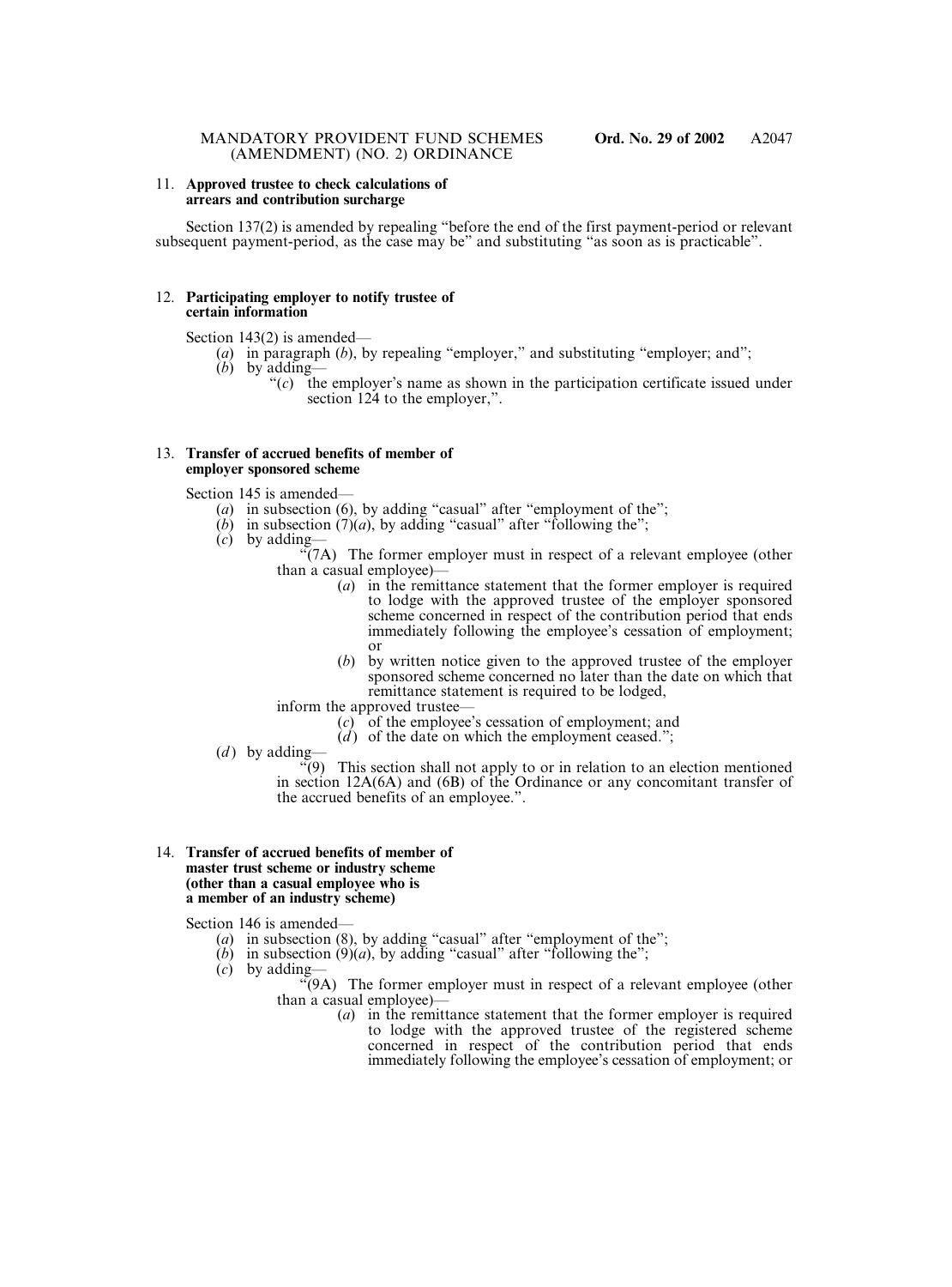#### 11. **Approved trustee to check calculations of arrears and contribution surcharge**

Section 137(2) is amended by repealing "before the end of the first payment-period or relevant subsequent payment-period, as the case may be" and substituting "as soon as is practicable".

#### 12. **Participating employer to notify trustee of certain information**

Section 143(2) is amended—

- (*a*) in paragraph (*b*), by repealing "employer," and substituting "employer; and";
- (*b*) by adding—
	- "(*c*) the employer's name as shown in the participation certificate issued under section 124 to the employer,".

#### 13. **Transfer of accrued benefits of member of employer sponsored scheme**

Section 145 is amended—

- (*a*) in subsection (6), by adding "casual" after "employment of the";
- $(b)$  in subsection  $(7)(a)$ , by adding "casual" after "following the";
- (*c*) by adding—

 $\sqrt{\gamma}$ (7A) The former employer must in respect of a relevant employee (other than a casual employee)—

- (*a*) in the remittance statement that the former employer is required to lodge with the approved trustee of the employer sponsored scheme concerned in respect of the contribution period that ends immediately following the employee's cessation of employment; or
- (*b*) by written notice given to the approved trustee of the employer sponsored scheme concerned no later than the date on which that remittance statement is required to be lodged,

inform the approved trustee—

- (*c*) of the employee's cessation of employment; and
- (*d*) of the date on which the employment ceased.";
- $(d)$  by adding—

 $\widetilde{P}(9)$  This section shall not apply to or in relation to an election mentioned in section 12A(6A) and (6B) of the Ordinance or any concomitant transfer of the accrued benefits of an employee.".

#### 14. **Transfer of accrued benefits of member of master trust scheme or industry scheme (other than a casual employee who is a member of an industry scheme)**

Section 146 is amended—

- (*a*) in subsection (8), by adding "casual" after "employment of the";
- $(b)$  in subsection  $(9)(a)$ , by adding "casual" after "following the";
- $(c)$  by adding-

"(9A) The former employer must in respect of a relevant employee (other than a casual employee)—

(*a*) in the remittance statement that the former employer is required to lodge with the approved trustee of the registered scheme concerned in respect of the contribution period that ends immediately following the employee's cessation of employment; or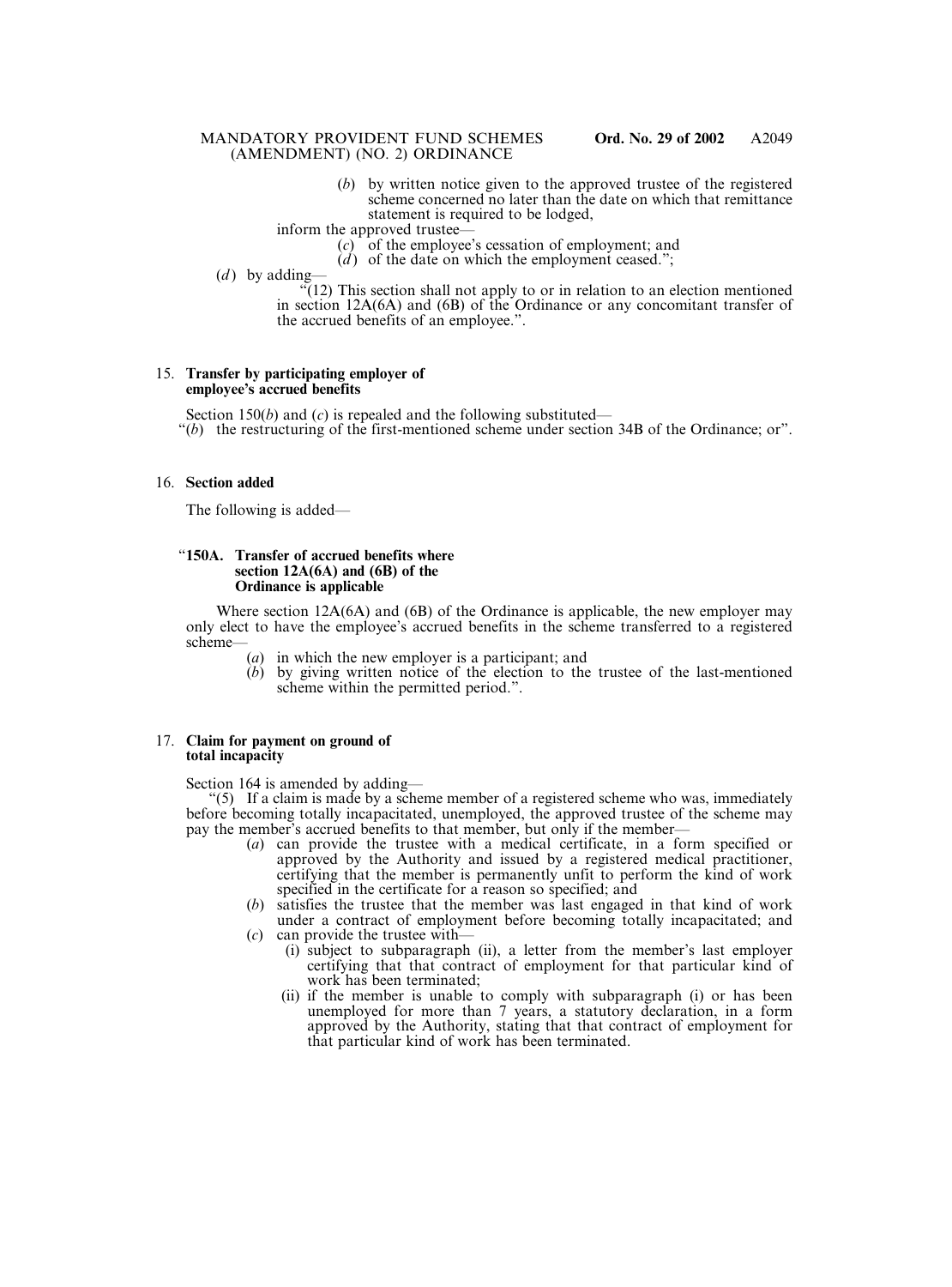(*b*) by written notice given to the approved trustee of the registered scheme concerned no later than the date on which that remittance statement is required to be lodged,

inform the approved trustee—

- $(c)$  of the employee's cessation of employment; and
- $\hat{d}$  of the date on which the employment ceased.";
- $(d)$  by adding- $\sqrt{12}$ ) This section shall not apply to or in relation to an election mentioned in section 12A(6A) and (6B) of the Ordinance or any concomitant transfer of the accrued benefits of an employee.".

#### 15. **Transfer by participating employer of employee's accrued benefits**

Section 150(*b*) and (*c*) is repealed and the following substituted—

"(*b*) the restructuring of the first-mentioned scheme under section 34B of the Ordinance; or".

### 16. **Section added**

The following is added—

### "**150A. Transfer of accrued benefits where section 12A(6A) and (6B) of the Ordinance is applicable**

Where section 12A(6A) and (6B) of the Ordinance is applicable, the new employer may only elect to have the employee's accrued benefits in the scheme transferred to a registered scheme—

- (*a*) in which the new employer is a participant; and
- (*b*) by giving written notice of the election to the trustee of the last-mentioned scheme within the permitted period.".

#### 17. **Claim for payment on ground of total incapacity**

Section 164 is amended by adding—

"(5) If a claim is made by a scheme member of a registered scheme who was, immediately before becoming totally incapacitated, unemployed, the approved trustee of the scheme may pay the member's accrued benefits to that member, but only if the member—

- (*a*) can provide the trustee with a medical certificate, in a form specified or approved by the Authority and issued by a registered medical practitioner, certifying that the member is permanently unfit to perform the kind of work specified in the certificate for a reason so specified; and
- (*b*) satisfies the trustee that the member was last engaged in that kind of work under a contract of employment before becoming totally incapacitated; and (*c*) can provide the trustee with—
	- (i) subject to subparagraph (ii), a letter from the member's last employer
		- certifying that that contract of employment for that particular kind of work has been terminated;
		- (ii) if the member is unable to comply with subparagraph (i) or has been unemployed for more than 7 years, a statutory declaration, in a form approved by the Authority, stating that that contract of employment for that particular kind of work has been terminated.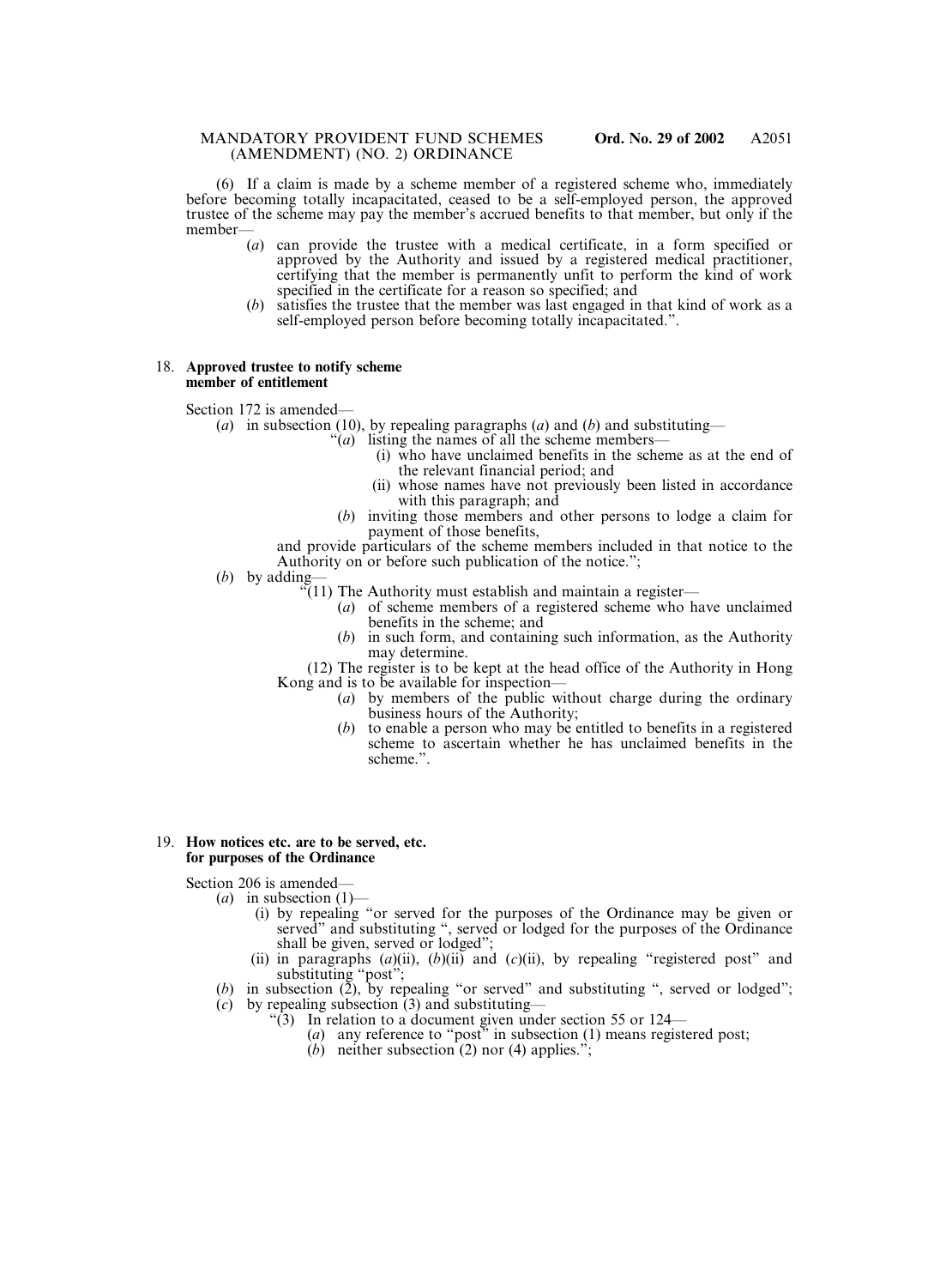(6) If a claim is made by a scheme member of a registered scheme who, immediately before becoming totally incapacitated, ceased to be a self-employed person, the approved trustee of the scheme may pay the member's accrued benefits to that member, but only if the member—

- (*a*) can provide the trustee with a medical certificate, in a form specified or approved by the Authority and issued by a registered medical practitioner, certifying that the member is permanently unfit to perform the kind of work specified in the certificate for a reason so specified; and
- (*b*) satisfies the trustee that the member was last engaged in that kind of work as a self-employed person before becoming totally incapacitated.".

#### 18. **Approved trustee to notify scheme member of entitlement**

Section 172 is amended—

- (*a*) in subsection (10), by repealing paragraphs (*a*) and (*b*) and substituting—
	- "(*a*) listing the names of all the scheme members—
		- (i) who have unclaimed benefits in the scheme as at the end of the relevant financial period; and
		- (ii) whose names have not previously been listed in accordance with this paragraph; and
	- (*b*) inviting those members and other persons to lodge a claim for payment of those benefits,

and provide particulars of the scheme members included in that notice to the Authority on or before such publication of the notice.";

- (*b*) by adding—
	- "(11) The Authority must establish and maintain a register—
		- (*a*) of scheme members of a registered scheme who have unclaimed benefits in the scheme; and
		- (*b*) in such form, and containing such information, as the Authority may determine.

(12) The register is to be kept at the head office of the Authority in Hong Kong and is to be available for inspection—

- (*a*) by members of the public without charge during the ordinary business hours of the Authority;
- (*b*) to enable a person who may be entitled to benefits in a registered scheme to ascertain whether he has unclaimed benefits in the scheme.".

#### 19. **How notices etc. are to be served, etc. for purposes of the Ordinance**

Section 206 is amended—

- (*a*) in subsection (1)—
	- (i) by repealing "or served for the purposes of the Ordinance may be given or served" and substituting ", served or lodged for the purposes of the Ordinance shall be given, served or lodged";
	- (ii) in paragraphs  $(a)$ (ii),  $(b)$ (ii) and  $(c)$ (ii), by repealing "registered post" and substituting "post";
- (*b*) in subsection (2), by repealing "or served" and substituting ", served or lodged";
- (*c*) by repealing subsection (3) and substituting—
	- "(3) In relation to a document given under section 55 or 124—
		- (*a*) any reference to "post" in subsection (1) means registered post;
		- (*b*) neither subsection (2) nor (4) applies.";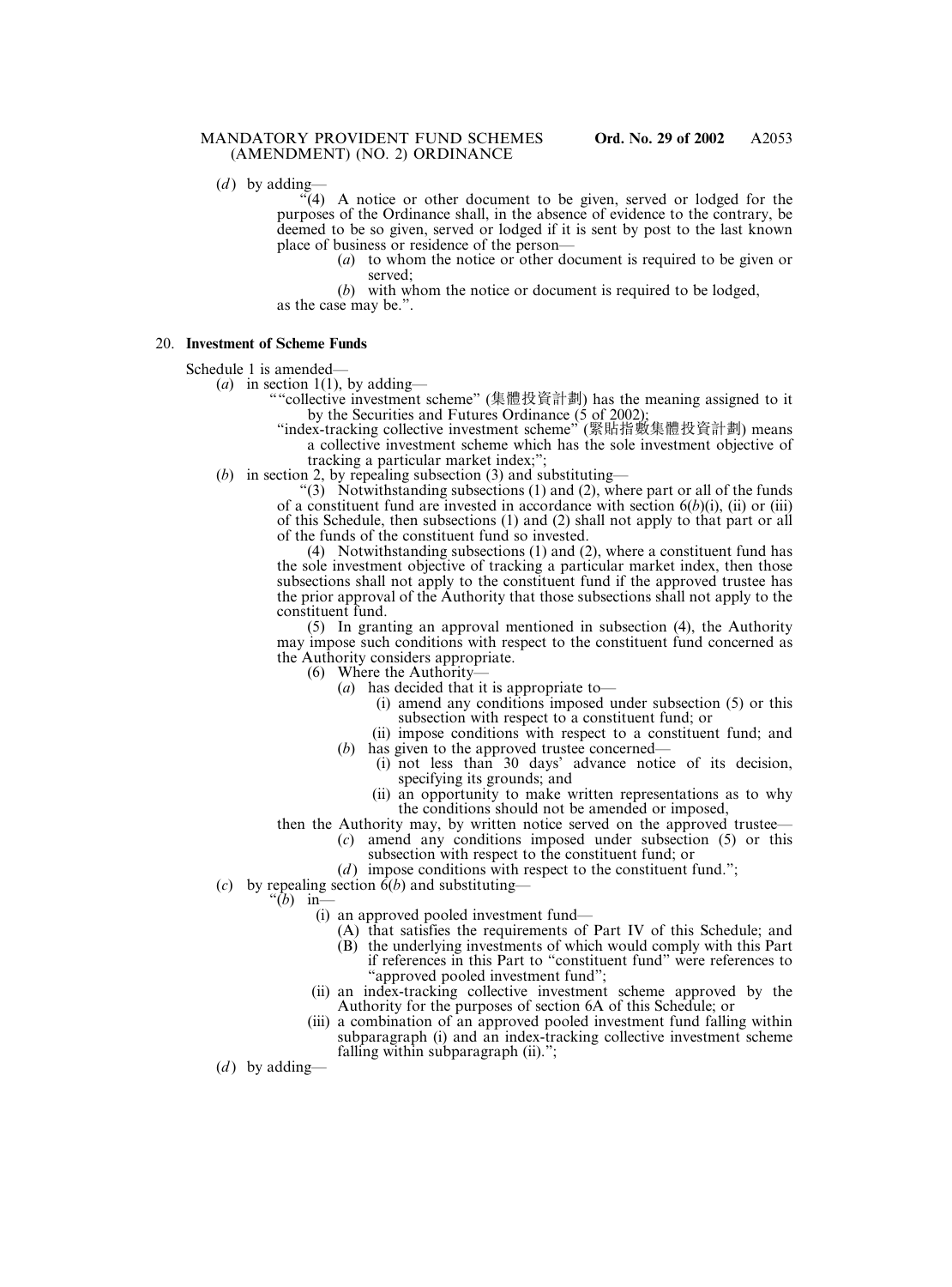A2053

(*d*) by adding-

 $\mathcal{F}(4)$  A notice or other document to be given, served or lodged for the purposes of the Ordinance shall, in the absence of evidence to the contrary, be deemed to be so given, served or lodged if it is sent by post to the last known place of business or residence of the person—

> (*a*) to whom the notice or other document is required to be given or served;

(*b*) with whom the notice or document is required to be lodged, as the case may be.".

#### 20. **Investment of Scheme Funds**

Schedule 1 is amended—

(*a*) in section 1(1), by adding—

- ""collective investment scheme" (集體投資計劃) has the meaning assigned to it by the Securities and Futures Ordinance (5 of 2002);
- "index-tracking collective investment scheme" (緊貼指數集體投資計劃) means a collective investment scheme which has the sole investment objective of tracking a particular market index;";
- (*b*) in section 2, by repealing subsection (3) and substituting—

 $(3)$  Notwithstanding subsections (1) and (2), where part or all of the funds of a constituent fund are invested in accordance with section  $6(b)(i)$ , (ii) or (iii) of this Schedule, then subsections (1) and (2) shall not apply to that part or all of the funds of the constituent fund so invested.

(4) Notwithstanding subsections (1) and (2), where a constituent fund has the sole investment objective of tracking a particular market index, then those subsections shall not apply to the constituent fund if the approved trustee has the prior approval of the Authority that those subsections shall not apply to the constituent fund.

(5) In granting an approval mentioned in subsection (4), the Authority may impose such conditions with respect to the constituent fund concerned as the Authority considers appropriate.

(6) Where the Authority—

- (*a*) has decided that it is appropriate to—
	- (i) amend any conditions imposed under subsection (5) or this subsection with respect to a constituent fund; or
- (ii) impose conditions with respect to a constituent fund; and (*b*) has given to the approved trustee concerned—
	- (i) not less than 30 days' advance notice of its decision, specifying its grounds; and
	- (ii) an opportunity to make written representations as to why the conditions should not be amended or imposed,
- then the Authority may, by written notice served on the approved trustee—
	- (*c*) amend any conditions imposed under subsection (5) or this subsection with respect to the constituent fund; or
	- (*d*) impose conditions with respect to the constituent fund.";
- (*c*) by repealing section  $\delta(b)$  and substituting—
	- " $(b)$  in-
		- (i) an approved pooled investment fund—
			- (A) that satisfies the requirements of Part IV of this Schedule; and
			- (B) the underlying investments of which would comply with this Part if references in this Part to "constituent fund" were references to
		- "approved pooled investment fund"; (ii) an index-tracking collective investment scheme approved by the
		- Authority for the purposes of section 6A of this Schedule; or
		- (iii) a combination of an approved pooled investment fund falling within subparagraph (i) and an index-tracking collective investment scheme falling within subparagraph (ii).";

 $(d)$  by adding—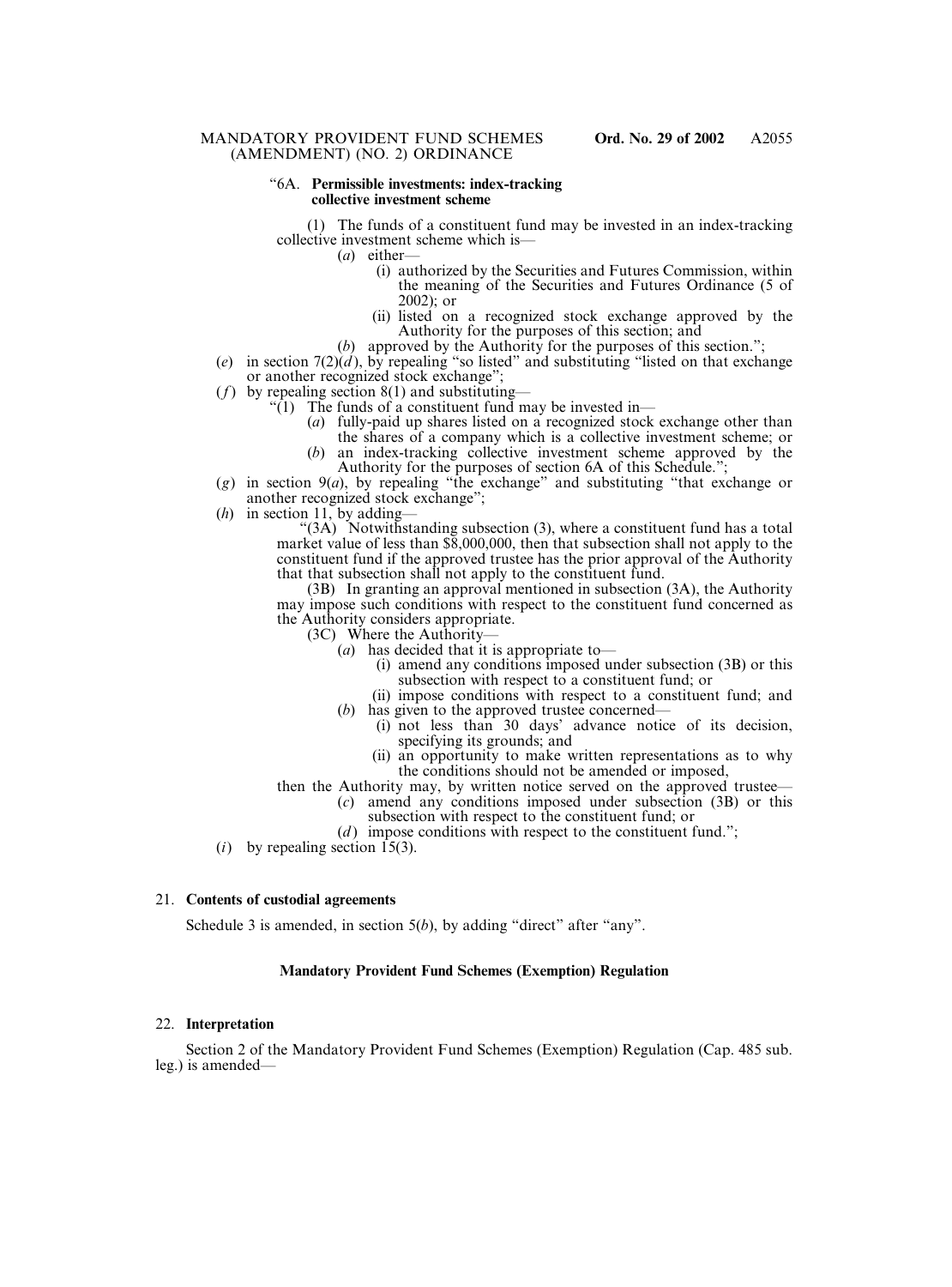#### "6A. **Permissible investments: index-tracking collective investment scheme**

(1) The funds of a constituent fund may be invested in an index-tracking collective investment scheme which is—

- (*a*) either—
	- (i) authorized by the Securities and Futures Commission, within the meaning of the Securities and Futures Ordinance (5 of 2002); or
	- (ii) listed on a recognized stock exchange approved by the Authority for the purposes of this section; and
	- (*b*) approved by the Authority for the purposes of this section.";
- (*e*) in section  $7(2)(d)$ , by repealing "so listed" and substituting "listed on that exchange or another recognized stock exchange";
- (*f*) by repealing section 8(1) and substituting—
	- "(1) The funds of a constituent fund may be invested in—
		- (*a*) fully-paid up shares listed on a recognized stock exchange other than
		- the shares of a company which is a collective investment scheme; or (*b*) an index-tracking collective investment scheme approved by the
			- Authority for the purposes of section 6A of this Schedule.";
- (*g*) in section 9(*a*), by repealing "the exchange" and substituting "that exchange or another recognized stock exchange";
- (*h*) in section 11, by adding-

"(3A) Notwithstanding subsection (3), where a constituent fund has a total market value of less than \$8,000,000, then that subsection shall not apply to the constituent fund if the approved trustee has the prior approval of the Authority that that subsection shall not apply to the constituent fund.

(3B) In granting an approval mentioned in subsection (3A), the Authority may impose such conditions with respect to the constituent fund concerned as the Authority considers appropriate.

- (3C) Where the Authority—
	- (*a*) has decided that it is appropriate to—
		- (i) amend any conditions imposed under subsection (3B) or this subsection with respect to a constituent fund; or
		- (ii) impose conditions with respect to a constituent fund; and
	- (*b*) has given to the approved trustee concerned–
		- (i) not less than 30 days' advance notice of its decision, specifying its grounds; and
		- (ii) an opportunity to make written representations as to why the conditions should not be amended or imposed,
- then the Authority may, by written notice served on the approved trustee—
	- (*c*) amend any conditions imposed under subsection (3B) or this subsection with respect to the constituent fund; or
		- (*d*) impose conditions with respect to the constituent fund.";
- $(i)$  by repealing section  $\overline{15(3)}$ .

#### 21. **Contents of custodial agreements**

Schedule 3 is amended, in section 5(*b*), by adding "direct" after "any".

### **Mandatory Provident Fund Schemes (Exemption) Regulation**

### 22. **Interpretation**

Section 2 of the Mandatory Provident Fund Schemes (Exemption) Regulation (Cap. 485 sub. leg.) is amended—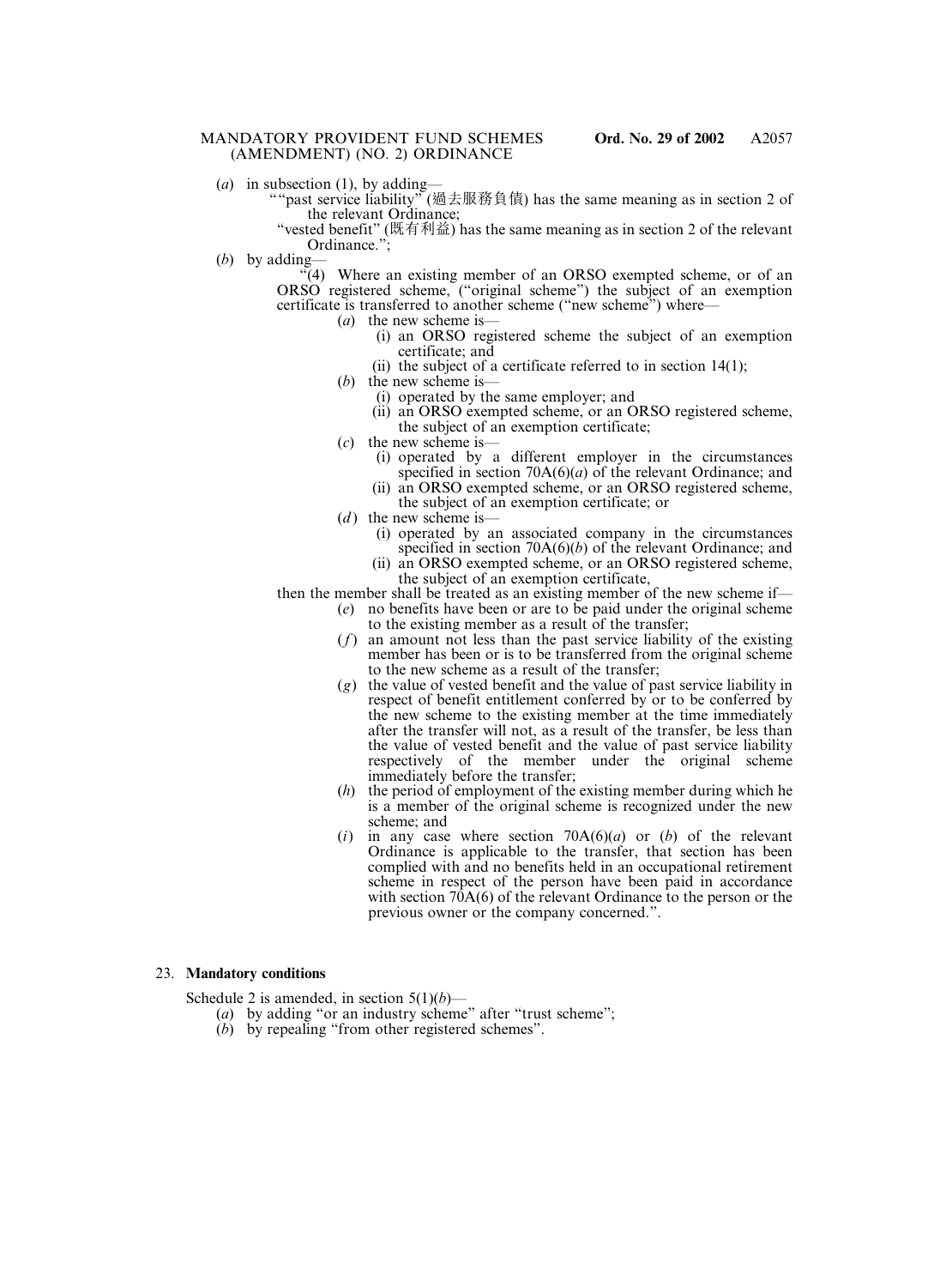- (*a*) in subsection (1), by adding-
	- ""past service liability" (過去服務負債) has the same meaning as in section 2 of the relevant Ordinance;

"vested benefit" (既有利益) has the same meaning as in section 2 of the relevant Ordinance.":

(*b*) by adding—

 $\mathcal{F}(4)$  Where an existing member of an ORSO exempted scheme, or of an ORSO registered scheme, ("original scheme") the subject of an exemption certificate is transferred to another scheme ("new scheme") where—

- (*a*) the new scheme is—
	- (i) an ORSO registered scheme the subject of an exemption certificate; and
	- (ii) the subject of a certificate referred to in section 14(1);
- (*b*) the new scheme is—
	- (i) operated by the same employer; and
	- (ii) an ORSO exempted scheme, or an ORSO registered scheme, the subject of an exemption certificate;
- (*c*) the new scheme is—
	- (i) operated by a different employer in the circumstances specified in section 70A(6)(*a*) of the relevant Ordinance; and
	- (ii) an ORSO exempted scheme, or an ORSO registered scheme, the subject of an exemption certificate; or
- $(d)$  the new scheme is—
	- (i) operated by an associated company in the circumstances specified in section 70A(6)(*b*) of the relevant Ordinance; and
	- (ii) an ORSO exempted scheme, or an ORSO registered scheme, the subject of an exemption certificate,

then the member shall be treated as an existing member of the new scheme if—

- (*e*) no benefits have been or are to be paid under the original scheme to the existing member as a result of the transfer;
- (*f*) an amount not less than the past service liability of the existing member has been or is to be transferred from the original scheme to the new scheme as a result of the transfer;
- (*g*) the value of vested benefit and the value of past service liability in respect of benefit entitlement conferred by or to be conferred by the new scheme to the existing member at the time immediately after the transfer will not, as a result of the transfer, be less than the value of vested benefit and the value of past service liability respectively of the member under the original scheme immediately before the transfer;
- (*h*) the period of employment of the existing member during which he is a member of the original scheme is recognized under the new scheme; and
- (*i*) in any case where section 70A(6)(*a*) or (*b*) of the relevant Ordinance is applicable to the transfer, that section has been complied with and no benefits held in an occupational retirement scheme in respect of the person have been paid in accordance with section 70A(6) of the relevant Ordinance to the person or the previous owner or the company concerned.".

#### 23. **Mandatory conditions**

Schedule 2 is amended, in section  $5(1)(b)$ —

- (*a*) by adding "or an industry scheme" after "trust scheme";
- (*b*) by repealing "from other registered schemes".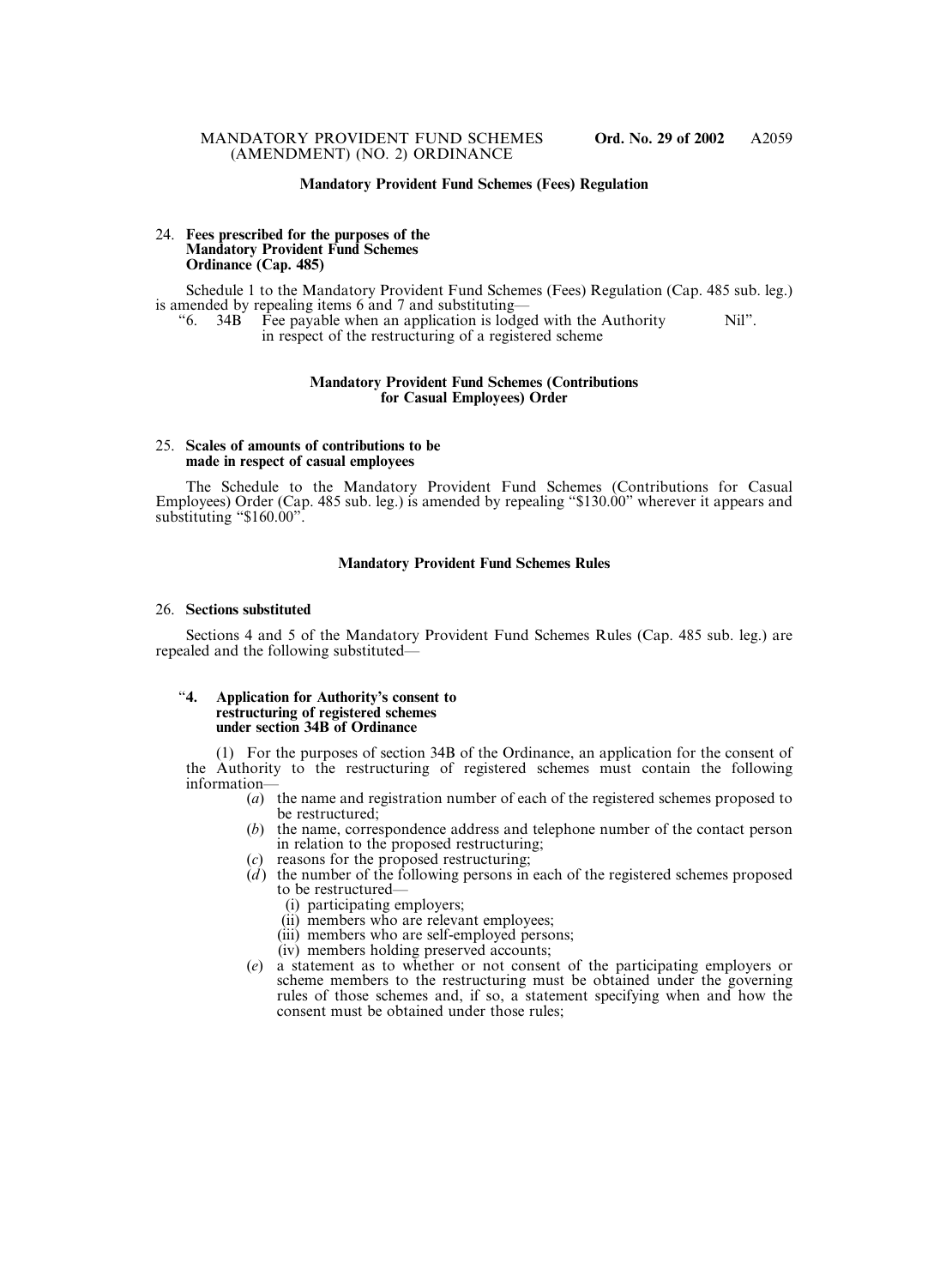### **Mandatory Provident Fund Schemes (Fees) Regulation**

#### 24. **Fees prescribed for the purposes of the Mandatory Provident Fund Schemes Ordinance (Cap. 485)**

Schedule 1 to the Mandatory Provident Fund Schemes (Fees) Regulation (Cap. 485 sub. leg.) is amended by repealing items 6 and 7 and substituting—<br>
"6. 34B Fee payable when an application is lods"

Fee payable when an application is lodged with the Authority Nil". in respect of the restructuring of a registered scheme

#### **Mandatory Provident Fund Schemes (Contributions for Casual Employees) Order**

#### 25. **Scales of amounts of contributions to be made in respect of casual employees**

The Schedule to the Mandatory Provident Fund Schemes (Contributions for Casual Employees) Order (Cap. 485 sub. leg.) is amended by repealing "\$130.00" wherever it appears and substituting "\$160.00".

#### **Mandatory Provident Fund Schemes Rules**

#### 26. **Sections substituted**

Sections 4 and 5 of the Mandatory Provident Fund Schemes Rules (Cap. 485 sub. leg.) are repealed and the following substituted—

#### "**4. Application for Authority's consent to restructuring of registered schemes under section 34B of Ordinance**

(1) For the purposes of section 34B of the Ordinance, an application for the consent of the Authority to the restructuring of registered schemes must contain the following information—

- (*a*) the name and registration number of each of the registered schemes proposed to be restructured;
- (*b*) the name, correspondence address and telephone number of the contact person in relation to the proposed restructuring;
- (*c*) reasons for the proposed restructuring;
- (*d*) the number of the following persons in each of the registered schemes proposed to be restructured—
	- (i) participating employers;
	- (ii) members who are relevant employees;
	- (iii) members who are self-employed persons;
	- (iv) members holding preserved accounts;
- (*e*) a statement as to whether or not consent of the participating employers or scheme members to the restructuring must be obtained under the governing rules of those schemes and, if so, a statement specifying when and how the consent must be obtained under those rules;